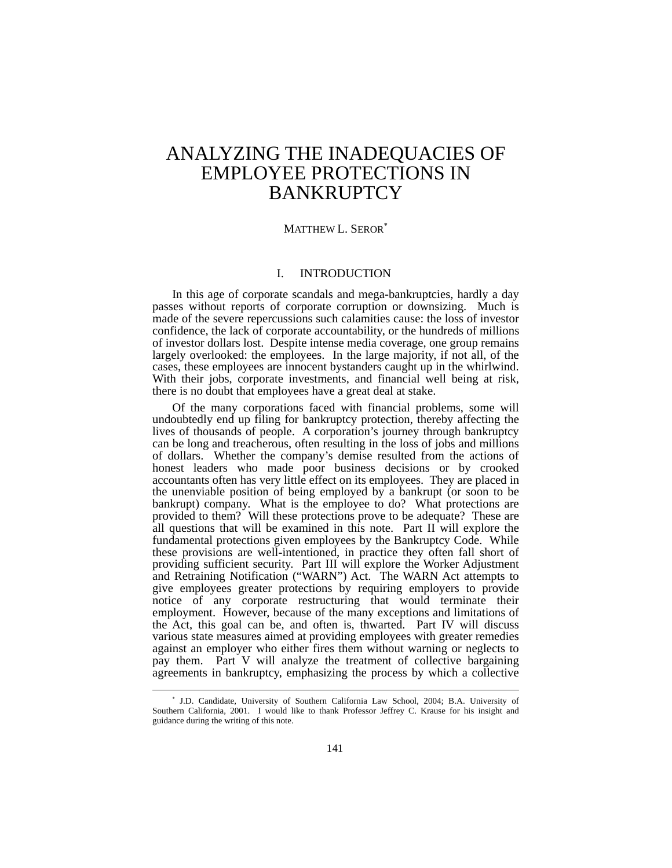# ANALYZING THE INADEQUACIES OF EMPLOYEE PROTECTIONS IN **BANKRUPTCY**

# MATTHEW L. SEROR<sup>\*</sup>

# I. INTRODUCTION

In this age of corporate scandals and mega-bankruptcies, hardly a day passes without reports of corporate corruption or downsizing. Much is made of the severe repercussions such calamities cause: the loss of investor confidence, the lack of corporate accountability, or the hundreds of millions of investor dollars lost. Despite intense media coverage, one group remains largely overlooked: the employees. In the large majority, if not all, of the cases, these employees are innocent bystanders caught up in the whirlwind. With their jobs, corporate investments, and financial well being at risk, there is no doubt that employees have a great deal at stake.

Of the many corporations faced with financial problems, some will undoubtedly end up filing for bankruptcy protection, thereby affecting the lives of thousands of people. A corporation's journey through bankruptcy can be long and treacherous, often resulting in the loss of jobs and millions of dollars. Whether the company's demise resulted from the actions of honest leaders who made poor business decisions or by crooked accountants often has very little effect on its employees. They are placed in the unenviable position of being employed by a bankrupt (or soon to be bankrupt) company. What is the employee to do? What protections are provided to them? Will these protections prove to be adequate? These are all questions that will be examined in this note. Part II will explore the fundamental protections given employees by the Bankruptcy Code. While these provisions are well-intentioned, in practice they often fall short of providing sufficient security. Part III will explore the Worker Adjustment and Retraining Notification ("WARN") Act. The WARN Act attempts to give employees greater protections by requiring employers to provide notice of any corporate restructuring that would terminate their employment. However, because of the many exceptions and limitations of the Act, this goal can be, and often is, thwarted. Part IV will discuss various state measures aimed at providing employees with greater remedies against an employer who either fires them without warning or neglects to pay them. Part V will analyze the treatment of collective bargaining agreements in bankruptcy, emphasizing the process by which a collective

<span id="page-0-0"></span>l

<sup>∗</sup> J.D. Candidate, University of Southern California Law School, 2004; B.A. University of Southern California, 2001. I would like to thank Professor Jeffrey C. Krause for his insight and guidance during the writing of this note.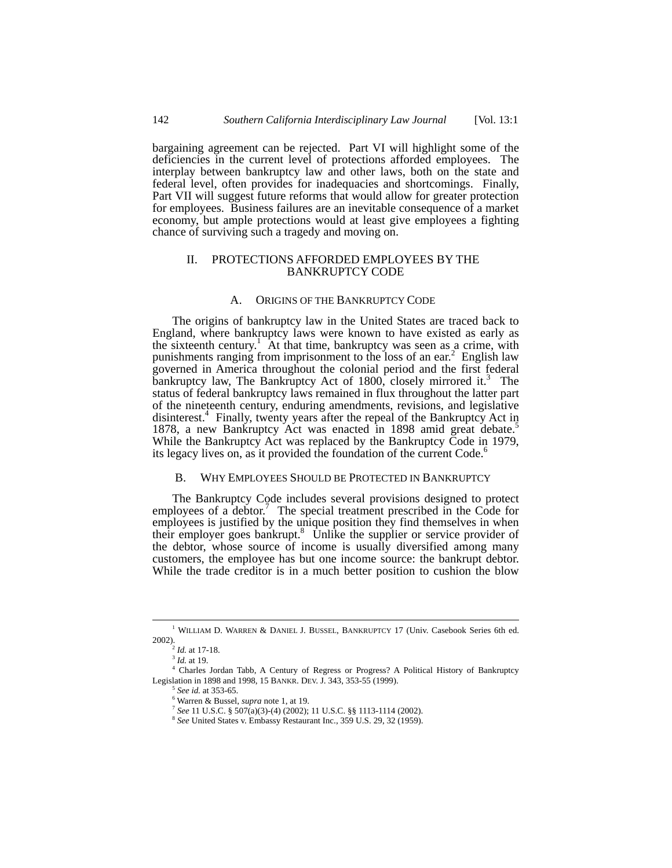bargaining agreement can be rejected. Part VI will highlight some of the deficiencies in the current level of protections afforded employees. The interplay between bankruptcy law and other laws, both on the state and federal level, often provides for inadequacies and shortcomings. Finally, Part VII will suggest future reforms that would allow for greater protection for employees. Business failures are an inevitable consequence of a market economy, but ample protections would at least give employees a fighting chance of surviving such a tragedy and moving on.

## II. PROTECTIONS AFFORDED EMPLOYEES BY THE BANKRUPTCY CODE

#### A. ORIGINS OF THE BANKRUPTCY CODE

The origins of bankruptcy law in the United States are traced back to England, where bankruptcy laws were known to have existed as early as thesixteenth century.<sup>1</sup> At that time, bankruptcy was seen as a crime, with punishments ranging from imprisonment to the loss of an ear. 2 English law governed in America throughout the colonial period and the first federal bankruptcylaw, The Bankruptcy Act of 1800, closely mirrored it.<sup>3</sup> The status of federal bankruptcy laws remained in flux throughout the latter part of the nineteenth century, enduring amendments, revisions, and legislative disinterest.<sup>4</sup>Finally, twenty years after the repeal of the Bankruptcy Act in 1878, a new Bankruptcy Act was enacted in 1898 amid great debate.<sup>[5](#page-1-4)</sup> While the Bankruptcy Act was replaced by the Bankruptcy Code in 1979, its legacy lives on, as it provided the foundation of the current Code.<sup>[6](#page-1-5)</sup>

## B. WHY EMPLOYEES SHOULD BE PROTECTED IN BANKRUPTCY

The Bankruptcy Code includes several provisions designed to protect employees of a debtor.<sup>[7](#page-1-6)</sup> The special treatment prescribed in the Code for employees is justified by the unique position they find themselves in when their employer goes bankrupt.<sup>[8](#page-1-7)</sup> Unlike the supplier or service provider of the debtor, whose source of income is usually diversified among many customers, the employee has but one income source: the bankrupt debtor. While the trade creditor is in a much better position to cushion the blow

 $\overline{1}$ <sup>1</sup> WILLIAM D. WARREN & DANIEL J. BUSSEL, BANKRUPTCY 17 (Univ. Casebook Series 6th ed. 2002).

<span id="page-1-1"></span><span id="page-1-0"></span> $\frac{2}{3}$ *Id.* at 17-18.

<span id="page-1-3"></span><span id="page-1-2"></span><sup>3</sup> *Id.* at 19.

<sup>4</sup> Charles Jordan Tabb, A Century of Regress or Progress? A Political History of Bankruptcy Legislation in 1898 and 1998, 15 BANKR. DEV. J. 343, 353-55 (1999).

<span id="page-1-4"></span><sup>5</sup> *See id.* at 353-65.

<span id="page-1-5"></span><sup>6</sup> Warren & Bussel, *supra* note 1, at 19.

<span id="page-1-6"></span><sup>7</sup> *See* 11 U.S.C. § 507(a)(3)-(4) (2002); 11 U.S.C. §§ 1113-1114 (2002).

<span id="page-1-7"></span><sup>8</sup> *See* United States v. Embassy Restaurant Inc., 359 U.S. 29, 32 (1959).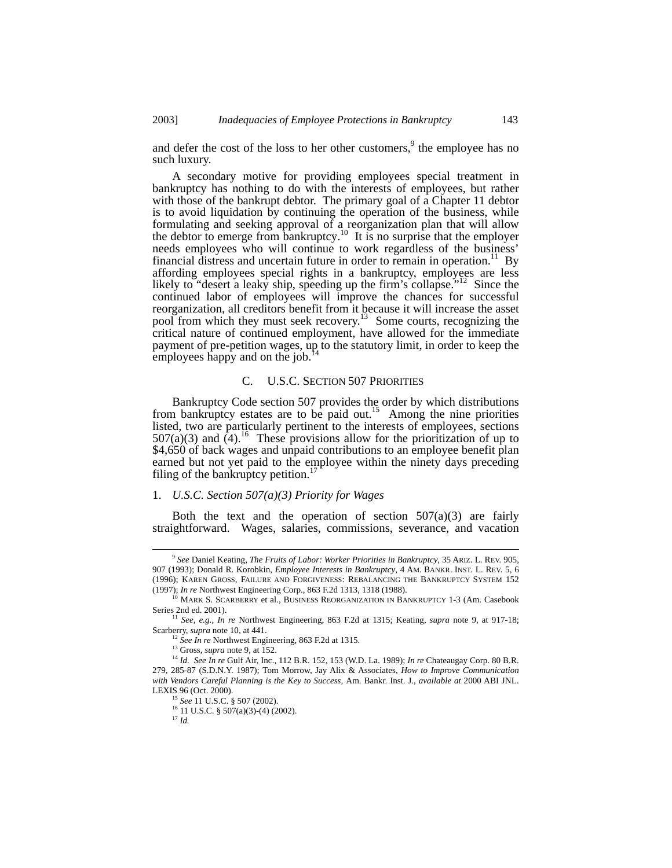anddefer the cost of the loss to her other customers,  $9$  the employee has no such luxury.

A secondary motive for providing employees special treatment in bankruptcy has nothing to do with the interests of employees, but rather with those of the bankrupt debtor. The primary goal of a Chapter 11 debtor is to avoid liquidation by continuing the operation of the business, while formulating and seeking approval of a reorganization plan that will allow the debtor to emerge from bankruptcy.<sup>10</sup> It is no surprise that the employer needs employees who will continue to work regardless of the business' financial distress and uncertain future in order to remain in operation.<sup>11</sup> By affording employees special rights in a bankruptcy, employees are less likely to "desert a leaky ship, speeding up the firm's collapse."<sup>12</sup> Since the continued labor of employees will improve the chances for successful reorganization, all creditors benefit from it because it will increase the asset pool from which they must seek recovery.<sup>13</sup> Some courts, recognizing the critical nature of continued employment, have allowed for the immediate payment of pre-petition wages, up to the statutory limit, in order to keep the employees happy and on the job.<sup>1</sup>

## C. U.S.C. SECTION 507 PRIORITIES

Bankruptcy Code section 507 provides the order by which distributions from bankruptcy estates are to be paid out.<sup>15</sup> Among the nine priorities listed, two are particularly pertinent to the interests of employees, sections  $507(a)(3)$  and  $(4)$ .<sup>16</sup> These provisions allow for the prioritization of up to \$4,650 of back wages and unpaid contributions to an employee benefit plan earned but not yet paid to the employee within the ninety days preceding filing of the bankruptcy petition.<sup>[17](#page-2-8)</sup>

## 1. *U.S.C. Section 507(a)(3) Priority for Wages*

Both the text and the operation of section  $507(a)(3)$  are fairly straightforward. Wages, salaries, commissions, severance, and vacation

<span id="page-2-0"></span> <sup>9</sup> *See* Daniel Keating, *The Fruits of Labor: Worker Priorities in Bankruptcy*, 35 ARIZ. L. REV. 905, 907 (1993); Donald R. Korobkin, *Employee Interests in Bankruptcy*, 4 AM. BANKR. INST. L. REV. 5, 6 (1996); KAREN GROSS, FAILURE AND FORGIVENESS: REBALANCING THE BANKRUPTCY SYSTEM 152 (1997); *In re* Northwest Engineering Corp., 863 F.2d 1313, 1318 (1988).

<span id="page-2-1"></span><sup>10</sup> MARK S. SCARBERRY et al., BUSINESS REORGANIZATION IN BANKRUPTCY 1-3 (Am. Casebook Series 2nd ed. 2001).

<sup>11</sup> *See, e.g., In re* Northwest Engineering, 863 F.2d at 1315; Keating, *supra* note 9, at 917-18; Scarberry, *supra* note 10, at 441.

<span id="page-2-3"></span><span id="page-2-2"></span><sup>&</sup>lt;sup>12</sup> See In re Northwest Engineering, 863 F.2d at 1315.

<span id="page-2-5"></span><span id="page-2-4"></span><sup>&</sup>lt;sup>13</sup> Gross, *supra* note 9, at 152.

<sup>14</sup> *Id. See In re* Gulf Air, Inc., 112 B.R. 152, 153 (W.D. La. 1989); *In re* Chateaugay Corp. 80 B.R. 279, 285-87 (S.D.N.Y. 1987); Tom Morrow, Jay Alix & Associates, *How to Improve Communication with Vendors Careful Planning is the Key to Success*, Am. Bankr. Inst. J., *available at* 2000 ABI JNL. LEXIS 96 (Oct. 2000).

<span id="page-2-6"></span><sup>15</sup> *See* 11 U.S.C. § 507 (2002).

<span id="page-2-7"></span> $16$  11 U.S.C. § 507(a)(3)-(4) (2002).

<span id="page-2-8"></span><sup>17</sup> *Id.*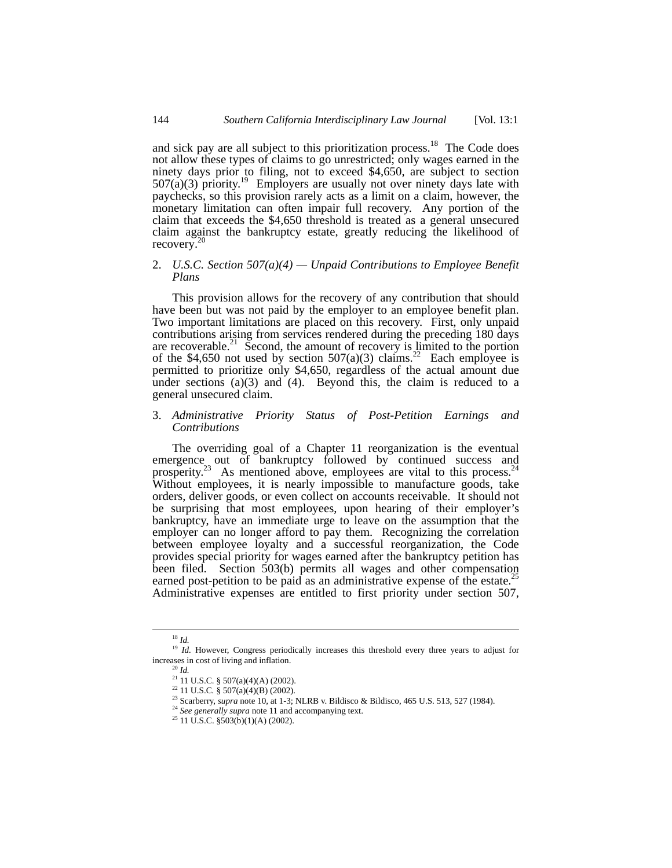and sick pay are all subject to this prioritization process.<sup>18</sup> The Code does not allow these types of claims to go unrestricted; only wages earned in the ninety days prior to filing, not to exceed \$4,650, are subject to section  $507(a)(3)$  priority.<sup>19</sup> Employers are usually not over ninety days late with paychecks, so this provision rarely acts as a limit on a claim, however, the monetary limitation can often impair full recovery. Any portion of the claim that exceeds the \$4,650 threshold is treated as a general unsecured claim against the bankruptcy estate, greatly reducing the likelihood of recovery. [20](#page-3-2)

## 2. *U.S.C. Section 507(a)(4) — Unpaid Contributions to Employee Benefit Plans*

This provision allows for the recovery of any contribution that should have been but was not paid by the employer to an employee benefit plan. Two important limitations are placed on this recovery. First, only unpaid contributions arising from services rendered during the preceding 180 days are recoverable.<sup>21</sup> Second, the amount of recovery is limited to the portion of the \$4,650 not used by section  $507(a)(3)$  claims.<sup>22</sup> Each employee is permitted to prioritize only \$4,650, regardless of the actual amount due under sections  $(a)(3)$  and  $(4)$ . Beyond this, the claim is reduced to a general unsecured claim.

## 3. *Administrative Priority Status of Post-Petition Earnings and Contributions*

The overriding goal of a Chapter 11 reorganization is the eventual emergence out of bankruptcy followed by continued success and prosperity.<sup>23</sup> As mentioned above, employees are vital to this process.<sup>24</sup> Without employees, it is nearly impossible to manufacture goods, take orders, deliver goods, or even collect on accounts receivable. It should not be surprising that most employees, upon hearing of their employer's bankruptcy, have an immediate urge to leave on the assumption that the employer can no longer afford to pay them. Recognizing the correlation between employee loyalty and a successful reorganization, the Code provides special priority for wages earned after the bankruptcy petition has been filed. Section 503(b) permits all wages and other compensation earned post-petition to be paid as an administrative expense of the estate.<sup>[25](#page-3-7)</sup> Administrative expenses are entitled to first priority under section 507,

<span id="page-3-1"></span><span id="page-3-0"></span> <sup>18</sup> *Id.*

<sup>&</sup>lt;sup>19</sup> *Id.* However, Congress periodically increases this threshold every three years to adjust for increases in cost of living and inflation. 20 *Id.* 

<span id="page-3-2"></span>

<span id="page-3-3"></span> $^{21}$  11 U.S.C. § 507(a)(4)(A) (2002).

<span id="page-3-4"></span><sup>22 11</sup> U.S.C*.* § 507(a)(4)(B) (2002).

<span id="page-3-5"></span><sup>&</sup>lt;sup>23</sup> Scarberry, *supra* note 10, at 1-3; NLRB v. Bildisco & Bildisco, 465 U.S. 513, 527 (1984).

<span id="page-3-6"></span><sup>&</sup>lt;sup>24</sup> *See generally supra* note 11 and accompanying text.<br><sup>25</sup> 11 U.S.C. §503(b)(1)(A) (2002).

<span id="page-3-7"></span>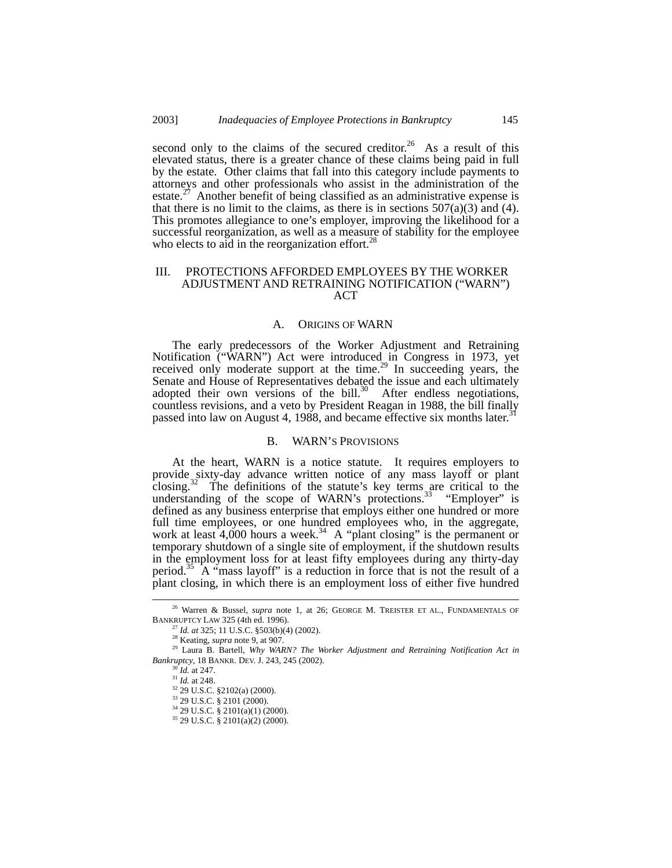second only to the claims of the secured creditor.<sup>26</sup> As a result of this elevated status, there is a greater chance of these claims being paid in full by the estate. Other claims that fall into this category include payments to attorneys and other professionals who assist in the administration of the estate.<sup> $27$ </sup> Another benefit of being classified as an administrative expense is that there is no limit to the claims, as there is in sections  $507(a)(3)$  and (4). This promotes allegiance to one's employer, improving the likelihood for a successful reorganization, as well as a measure of stability for the employee who elects to aid in the reorganization effort.<sup>2</sup>

## III. PROTECTIONS AFFORDED EMPLOYEES BY THE WORKER ADJUSTMENT AND RETRAINING NOTIFICATION ("WARN") ACT

## A. ORIGINS OF WARN

The early predecessors of the Worker Adjustment and Retraining Notification ("WARN") Act were introduced in Congress in 1973, yet received only moderate support at the time.<sup>29</sup> In succeeding years, the Senate and House of Representatives debated the issue and each ultimately adopted their own versions of the bill. $30$  After endless negotiations, countless revisions, and a veto by President Reagan in 1988, the bill finally passed into law on August 4, 1988, and became effective six months later.<sup>[31](#page-4-5)</sup>

#### B. WARN'S PROVISIONS

At the heart, WARN is a notice statute. It requires employers to provide sixty-day advance written notice of any mass layoff or plant closing.<sup>32</sup> The definitions of the statute's key terms are critical to the The definitions of the statute's key terms are critical to the understanding of the scope of WARN's protections.<sup>33</sup> "Employer" is defined as any business enterprise that employs either one hundred or more full time employees, or one hundred employees who, in the aggregate, work at least  $4,000$  hours a week.<sup>34</sup> A "plant closing" is the permanent or temporary shutdown of a single site of employment, if the shutdown results in the employment loss for at least fifty employees during any thirty-day period.[35](#page-4-9) A "mass layoff" is a reduction in force that is not the result of a plant closing, in which there is an employment loss of either five hundred

 <sup>26</sup> Warren & Bussel, *supra* note 1, at 26; GEORGE M. TREISTER ET AL., FUNDAMENTALS OF BANKRUPTCY LAW 325 (4th ed. 1996).

<span id="page-4-1"></span><span id="page-4-0"></span><sup>27</sup> *Id. at* 325; 11 U.S.C. §503(b)(4) (2002).

<span id="page-4-3"></span><span id="page-4-2"></span><sup>28</sup> Keating, *supra* note 9, at 907.

<sup>29</sup> Laura B. Bartell, *Why WARN? The Worker Adjustment and Retraining Notification Act in Bankruptcy*, 18 BANKR. DEV. J. 243, 245 (2002).

<span id="page-4-4"></span><sup>30</sup> *Id.* at 247.

<span id="page-4-5"></span><sup>31</sup> *Id.* at 248.

<span id="page-4-6"></span><sup>32 29</sup> U.S.C. §2102(a) (2000).

<span id="page-4-7"></span><sup>33 29</sup> U.S.C. § 2101 (2000).

<span id="page-4-8"></span> $34$  29 U.S.C. § 2101(a)(1) (2000).

<span id="page-4-9"></span><sup>35 29</sup> U.S.C. § 2101(a)(2) (2000).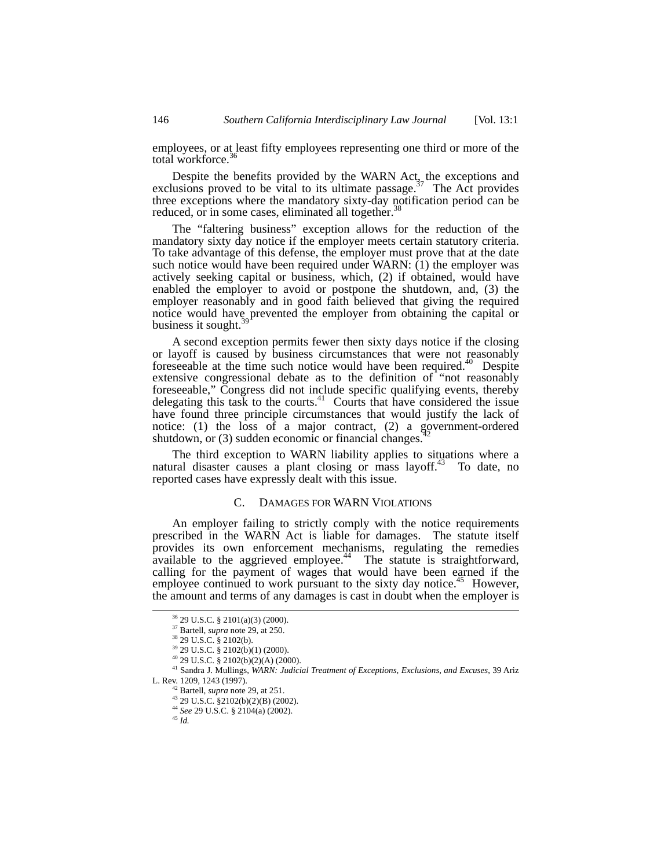employees, or at least fifty employees representing one third or more of the total workforce.<sup>[36](#page-5-0)</sup>

Despite the benefits provided by the WARN Act, the exceptions and exclusions proved to be vital to its ultimate passage.<sup>37</sup> The Act provides three exceptions where the mandatory sixty-day notification period can be reduced, or in some cases, eliminated all together.<sup>[38](#page-5-2)</sup>

The "faltering business" exception allows for the reduction of the mandatory sixty day notice if the employer meets certain statutory criteria. To take advantage of this defense, the employer must prove that at the date such notice would have been required under WARN: (1) the employer was actively seeking capital or business, which, (2) if obtained, would have enabled the employer to avoid or postpone the shutdown, and, (3) the employer reasonably and in good faith believed that giving the required notice would have prevented the employer from obtaining the capital or business it sought.<sup>3</sup>

A second exception permits fewer then sixty days notice if the closing or layoff is caused by business circumstances that were not reasonably foreseeable at the time such notice would have been required.<sup>40</sup> Despite extensive congressional debate as to the definition of "not reasonably foreseeable," Congress did not include specific qualifying events, thereby delegating this task to the courts.<sup>41</sup> Courts that have considered the issue have found three principle circumstances that would justify the lack of notice: (1) the loss of a major contract, (2) a government-ordered shutdown, or (3) sudden economic or financial changes.

The third exception to WARN liability applies to situations where a natural disaster causes a plant closing or mass layoff.<sup>43</sup> To date, no reported cases have expressly dealt with this issue.

#### C. DAMAGES FOR WARN VIOLATIONS

An employer failing to strictly comply with the notice requirements prescribed in the WARN Act is liable for damages. The statute itself provides its own enforcement mechanisms, regulating the remedies available to the aggrieved employee.<sup>44</sup> The statute is straightforward, calling for the payment of wages that would have been earned if the employee continued to work pursuant to the sixty day notice.<sup>45</sup> However, the amount and terms of any damages is cast in doubt when the employer is

<span id="page-5-0"></span> <sup>36 29</sup> U.S.C. § 2101(a)(3) (2000).

<span id="page-5-1"></span><sup>37</sup> Bartell, *supra* note 29, at 250.

<span id="page-5-2"></span><sup>38 29</sup> U.S.C. § 2102(b).

<span id="page-5-3"></span><sup>39 29</sup> U.S.C. § 2102(b)(1) (2000).

<span id="page-5-4"></span><sup>40 29</sup> U.S.C. § 2102(b)(2)(A) (2000).

<span id="page-5-5"></span>

<sup>41</sup> Sandra J. Mullings, *WARN: Judicial Treatment of Exceptions, Exclusions, and Excuses*, 39 Ariz L. Rev. 1209, 1243 (1997).

<sup>42</sup> Bartell, *supra* note 29, at 251.

<span id="page-5-7"></span><span id="page-5-6"></span><sup>43 29</sup> U.S.C. §2102(b)(2)(B) (2002).

<span id="page-5-8"></span><sup>44</sup> *See* 29 U.S.C. § 2104(a) (2002).

<span id="page-5-9"></span><sup>45</sup> *Id.*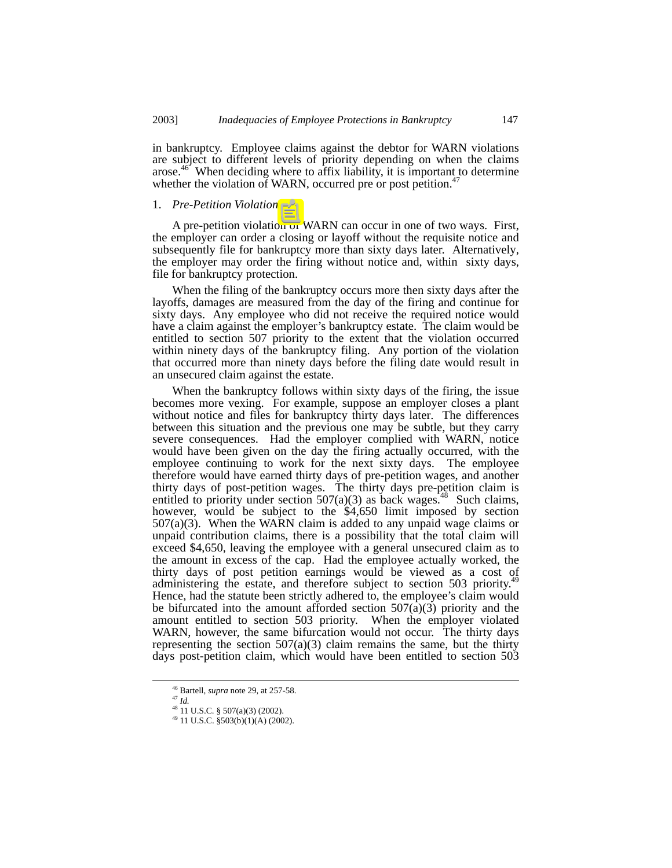in bankruptcy. Employee claims against the debtor for WARN violations are subject to different levels of priority depending on when the claims arose.[46](#page-6-0) When deciding where to affix liability, it is important to determine whether the violation of WARN, occurred pre or post petition.<sup>47</sup>

#### 1. *Pre-Petition Violation*

A pre-petition violation of WARN can occur in one of two ways. First, the employer can order a closing or layoff without the requisite notice and subsequently file for bankruptcy more than sixty days later. Alternatively, the employer may order the firing without notice and, within sixty days, file for bankruptcy protection.

When the filing of the bankruptcy occurs more then sixty days after the layoffs, damages are measured from the day of the firing and continue for sixty days. Any employee who did not receive the required notice would have a claim against the employer's bankruptcy estate. The claim would be entitled to section 507 priority to the extent that the violation occurred within ninety days of the bankruptcy filing. Any portion of the violation that occurred more than ninety days before the filing date would result in an unsecured claim against the estate.

When the bankruptcy follows within sixty days of the firing, the issue becomes more vexing. For example, suppose an employer closes a plant without notice and files for bankruptcy thirty days later. The differences between this situation and the previous one may be subtle, but they carry severe consequences. Had the employer complied with WARN, notice would have been given on the day the firing actually occurred, with the employee continuing to work for the next sixty days. The employee therefore would have earned thirty days of pre-petition wages, and another thirty days of post-petition wages. The thirty days pre-petition claim is entitled to priority under section  $507(a)(3)$  as back wages.<sup>48</sup> Such claims, however, would be subject to the \$4,650 limit imposed by section  $507(a)(3)$ . When the WARN claim is added to any unpaid wage claims or unpaid contribution claims, there is a possibility that the total claim will exceed \$4,650, leaving the employee with a general unsecured claim as to the amount in excess of the cap. Had the employee actually worked, the thirty days of post petition earnings would be viewed as a cost of administering the estate, and therefore subject to section 503 priority.<sup>49</sup> Hence, had the statute been strictly adhered to, the employee's claim would be bifurcated into the amount afforded section  $507(a)(3)$  priority and the amount entitled to section 503 priority. When the employer violated WARN, however, the same bifurcation would not occur. The thirty days representing the section  $507(a)(3)$  claim remains the same, but the thirty days post-petition claim, which would have been entitled to section 503

<span id="page-6-0"></span> <sup>46</sup> Bartell, *supra* note 29, at 257-58.

<span id="page-6-1"></span><sup>47</sup> *Id.*

<span id="page-6-2"></span><sup>48 11</sup> U.S.C. § 507(a)(3) (2002).

<span id="page-6-3"></span><sup>49 11</sup> U.S.C. §503(b)(1)(A) (2002).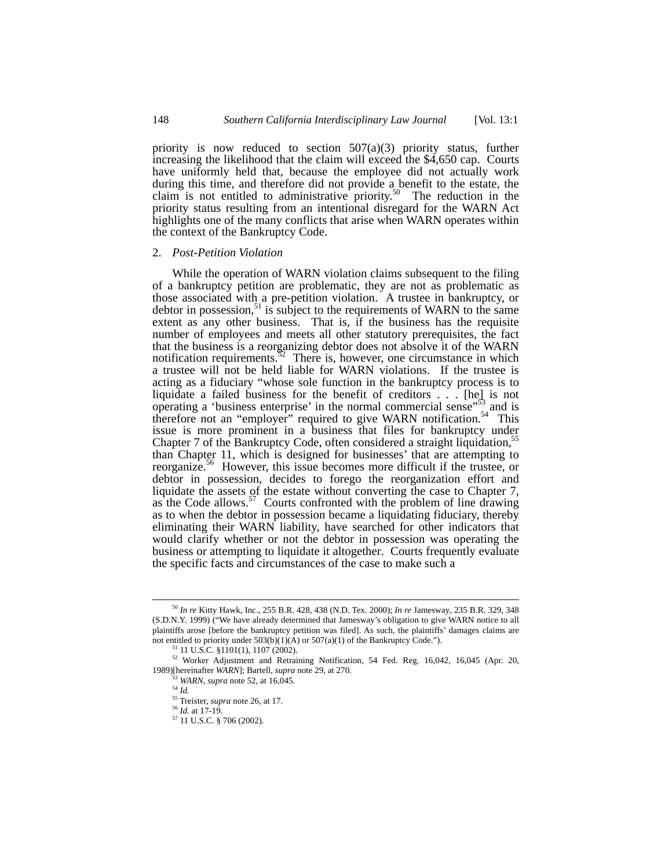priority is now reduced to section  $507(a)(3)$  priority status, further increasing the likelihood that the claim will exceed the \$4,650 cap. Courts have uniformly held that, because the employee did not actually work during this time, and therefore did not provide a benefit to the estate, the claim is not entitled to administrative priority.<sup>50</sup> The reduction in the priority status resulting from an intentional disregard for the WARN Act highlights one of the many conflicts that arise when WARN operates within the context of the Bankruptcy Code.

#### 2. *Post-Petition Violation*

While the operation of WARN violation claims subsequent to the filing of a bankruptcy petition are problematic, they are not as problematic as those associated with a pre-petition violation. A trustee in bankruptcy, or debtor in possession,  $51$  is subject to the requirements of WARN to the same extent as any other business. That is, if the business has the requisite number of employees and meets all other statutory prerequisites, the fact that the business is a reorganizing debtor does not absolve it of the WARN notification requirements.  $52$  There is, however, one circumstance in which a trustee will not be held liable for WARN violations. If the trustee is acting as a fiduciary "whose sole function in the bankruptcy process is to liquidate a failed business for the benefit of creditors . . . [he] is not operating a 'business enterprise' in the normal commercial sense" and is therefore not an "employer" required to give WARN notification.<sup>54</sup> This issue is more prominent in a business that files for bankruptcy under Chapter 7 of the Bankruptcy Code, often considered a straight liquidation,<sup>55</sup> than Chapter 11, which is designed for businesses' that are attempting to reorganize.<sup>56</sup> However, this issue becomes more difficult if the trustee, or debtor in possession, decides to forego the reorganization effort and liquidate the assets of the estate without converting the case to Chapter 7, as the Code allows.<sup>57</sup> Courts confronted with the problem of line drawing as to when the debtor in possession became a liquidating fiduciary, thereby eliminating their WARN liability, have searched for other indicators that would clarify whether or not the debtor in possession was operating the business or attempting to liquidate it altogether. Courts frequently evaluate the specific facts and circumstances of the case to make such a

<span id="page-7-6"></span><sup>56</sup> *Id.* at 17-19.

<span id="page-7-0"></span> <sup>50</sup> *In re* Kitty Hawk, Inc., 255 B.R. 428, 438 (N.D. Tex. 2000); *In re* Jamesway, 235 B.R. 329, 348 (S.D.N.Y. 1999) ("We have already determined that Jamesway's obligation to give WARN notice to all plaintiffs arose [before the bankruptcy petition was filed]. As such, the plaintiffs' damages claims are not entitled to priority under  $503(b)(1)(A)$  or  $507(a)(1)$  of the Bankruptcy Code."). <sup>51</sup> 11 U.S.C. §1101(1), 1107 (2002).

<span id="page-7-2"></span><span id="page-7-1"></span>

<sup>52</sup> Worker Adjustment and Retraining Notification, 54 Fed. Reg. 16,042, 16,045 (Apr. 20, 1989)[hereinafter *WARN*]; Bartell, *supra* note 29, at 270.

<span id="page-7-3"></span><sup>53</sup> *WARN, supra* note 52, at 16,045.

<span id="page-7-4"></span><sup>54</sup> *Id.*

<span id="page-7-5"></span><sup>55</sup> Treister, *supra* note 26, at 17.

<span id="page-7-7"></span><sup>57 11</sup> U.S.C. § 706 (2002).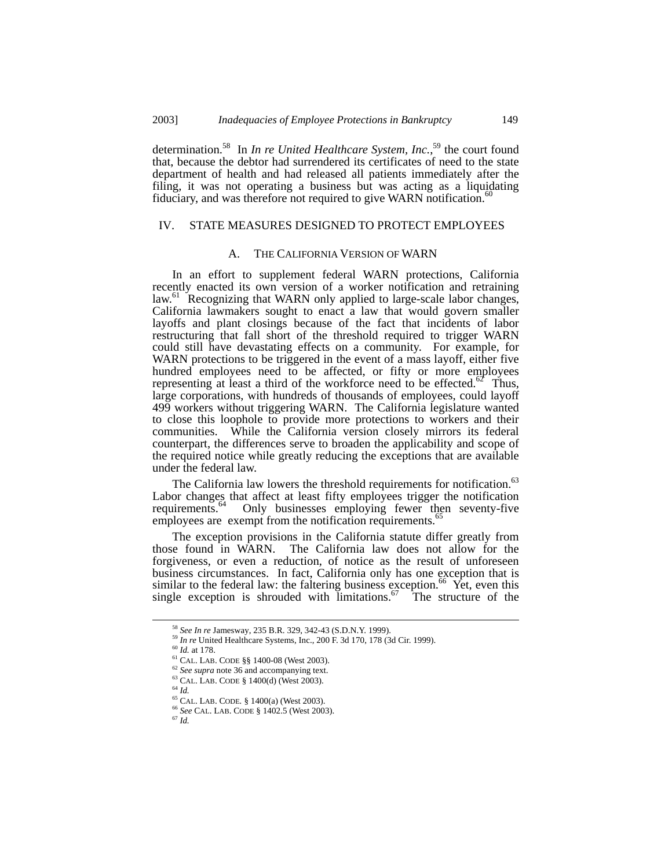determination.[58](#page-8-0) In *In re United Healthcare System, Inc.*, [59](#page-8-1) the court found that, because the debtor had surrendered its certificates of need to the state department of health and had released all patients immediately after the filing, it was not operating a business but was acting as a liquidating fiduciary, and was therefore not required to give WARN notification.<sup>[60](#page-8-2)</sup>

# IV. STATE MEASURES DESIGNED TO PROTECT EMPLOYEES

#### A. THE CALIFORNIA VERSION OF WARN

In an effort to supplement federal WARN protections, California recently enacted its own version of a worker notification and retraining law.<sup>61</sup> Recognizing that WARN only applied to large-scale labor changes, California lawmakers sought to enact a law that would govern smaller layoffs and plant closings because of the fact that incidents of labor restructuring that fall short of the threshold required to trigger WARN could still have devastating effects on a community. For example, for WARN protections to be triggered in the event of a mass layoff, either five hundred employees need to be affected, or fifty or more employees representing at least a third of the workforce need to be effected.<sup>62</sup> Thus, large corporations, with hundreds of thousands of employees, could layoff 499 workers without triggering WARN. The California legislature wanted to close this loophole to provide more protections to workers and their communities. While the California version closely mirrors its federal counterpart, the differences serve to broaden the applicability and scope of the required notice while greatly reducing the exceptions that are available under the federal law.

The California law lowers the threshold requirements for notification.<sup>63</sup> Labor changes that affect at least fifty employees trigger the notification requirements. Only businesses employing fewer then seventy-five Only businesses employing fewer then seventy-five employees are exempt from the notification requirements.<sup>[65](#page-8-7)</sup>

The exception provisions in the California statute differ greatly from those found in WARN. The California law does not allow for the forgiveness, or even a reduction, of notice as the result of unforeseen business circumstances. In fact, California only has one exception that is similar to the federal law: the faltering business exception.<sup>66</sup> Yet, even this single exception is shrouded with  $\overline{\text{limitations}}$ .<sup>67</sup> The structure of the

<span id="page-8-0"></span> <sup>58</sup> *See In re* Jamesway, 235 B.R. 329, 342-43 (S.D.N.Y. 1999).

<span id="page-8-1"></span><sup>59</sup> *In re* United Healthcare Systems, Inc., 200 F. 3d 170, 178 (3d Cir. 1999).

<span id="page-8-2"></span><sup>60</sup> *Id.* at 178.

<span id="page-8-3"></span><sup>&</sup>lt;sup>61</sup> CAL. LAB. CODE §§ 1400-08 (West 2003).<br><sup>62</sup> See supra note 36 and accompanying text.

<span id="page-8-4"></span>

<span id="page-8-5"></span><sup>&</sup>lt;sup>63</sup> CAL. LAB. CODE § 1400(d) (West 2003).

<span id="page-8-6"></span><sup>64</sup> *Id.*

<span id="page-8-7"></span><sup>65</sup> CAL. LAB. CODE*.* § 1400(a) (West 2003).

<span id="page-8-8"></span><sup>66</sup> *See* CAL. LAB. CODE § 1402.5 (West 2003).

<span id="page-8-9"></span><sup>67</sup> *Id.*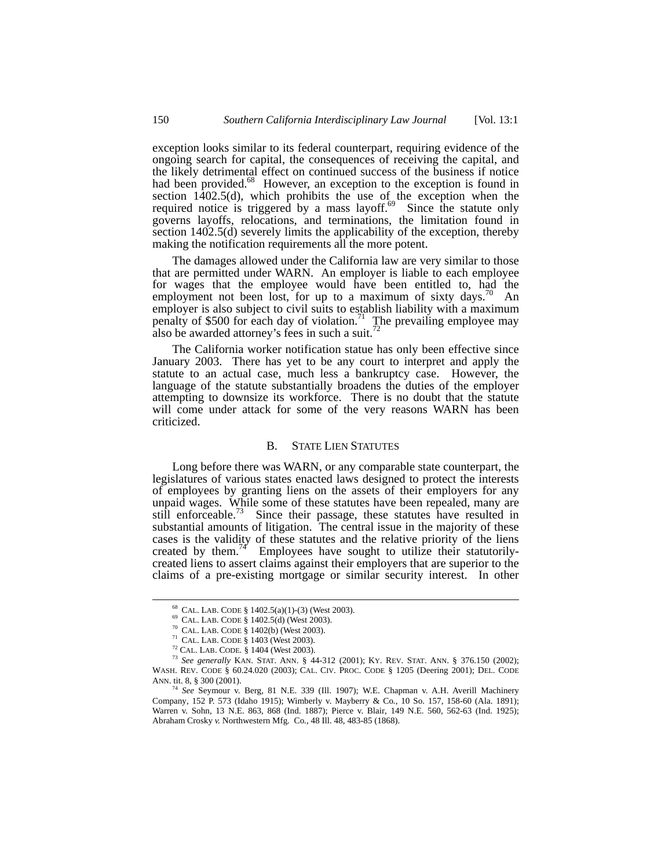exception looks similar to its federal counterpart, requiring evidence of the ongoing search for capital, the consequences of receiving the capital, and the likely detrimental effect on continued success of the business if notice had been provided.<sup>68</sup> However, an exception to the exception is found in section  $1402.5(d)$ , which prohibits the use of the exception when the required notice is triggered by a mass layoff.<sup>69</sup> Since the statute only governs layoffs, relocations, and terminations, the limitation found in section 1402.5(d) severely limits the applicability of the exception, thereby making the notification requirements all the more potent.

The damages allowed under the California law are very similar to those that are permitted under WARN. An employer is liable to each employee for wages that the employee would have been entitled to, had the employment not been lost, for up to a maximum of sixty days.<sup>70</sup> An employer is also subject to civil suits to establish liability with a maximum penalty of \$500 for each day of violation.<sup>71</sup> The prevailing employee may also be awarded attorney's fees in such a suit.<sup>[72](#page-9-4)</sup>

The California worker notification statue has only been effective since January 2003. There has yet to be any court to interpret and apply the statute to an actual case, much less a bankruptcy case. However, the language of the statute substantially broadens the duties of the employer attempting to downsize its workforce. There is no doubt that the statute will come under attack for some of the very reasons WARN has been criticized.

# B. STATE LIEN STATUTES

Long before there was WARN, or any comparable state counterpart, the legislatures of various states enacted laws designed to protect the interests of employees by granting liens on the assets of their employers for any unpaid wages. While some of these statutes have been repealed, many are still enforceable.<sup>73</sup> Since their passage, these statutes have resulted in substantial amounts of litigation. The central issue in the majority of these cases is the validity of these statutes and the relative priority of the liens created by them.<sup>74</sup> Employees have sought to utilize their statutorilycreated liens to assert claims against their employers that are superior to the claims of a pre-existing mortgage or similar security interest. In other

<span id="page-9-0"></span><sup>&</sup>lt;sup>68</sup> CAL. LAB. CODE § 1402.5(a)(1)-(3) (West 2003). <sup>69</sup> CAL. LAB. CODE § 1402.5(d) (West 2003).

<span id="page-9-1"></span>

<span id="page-9-2"></span><sup>70</sup> CAL. LAB. CODE § 1402(b) (West 2003).

<span id="page-9-3"></span><sup>71</sup> CAL. LAB. CODE § 1403 (West 2003).

<span id="page-9-5"></span><span id="page-9-4"></span><sup>72</sup> CAL. LAB. CODE*.* § 1404 (West 2003).

<sup>73</sup> *See generally* KAN. STAT. ANN. § 44-312 (2001); KY. REV. STAT. ANN. § 376.150 (2002); WASH. REV. CODE § 60.24.020 (2003); CAL. CIV. PROC. CODE § 1205 (Deering 2001); DEL. CODE ANN. tit. 8, § 300 (2001).

<span id="page-9-6"></span><sup>74</sup> *See* Seymour v. Berg, 81 N.E. 339 (Ill. 1907); W.E. Chapman v. A.H. Averill Machinery Company, 152 P. 573 (Idaho 1915); Wimberly v. Mayberry & Co*.*, 10 So. 157, 158-60 (Ala. 1891); Warren v. Sohn, 13 N.E. 863, 868 (Ind. 1887); Pierce v. Blair, 149 N.E. 560, 562-63 (Ind. 1925); Abraham Crosky *v.* Northwestern Mfg*.* Co*.*, 48 Ill. 48, 483-85 (1868).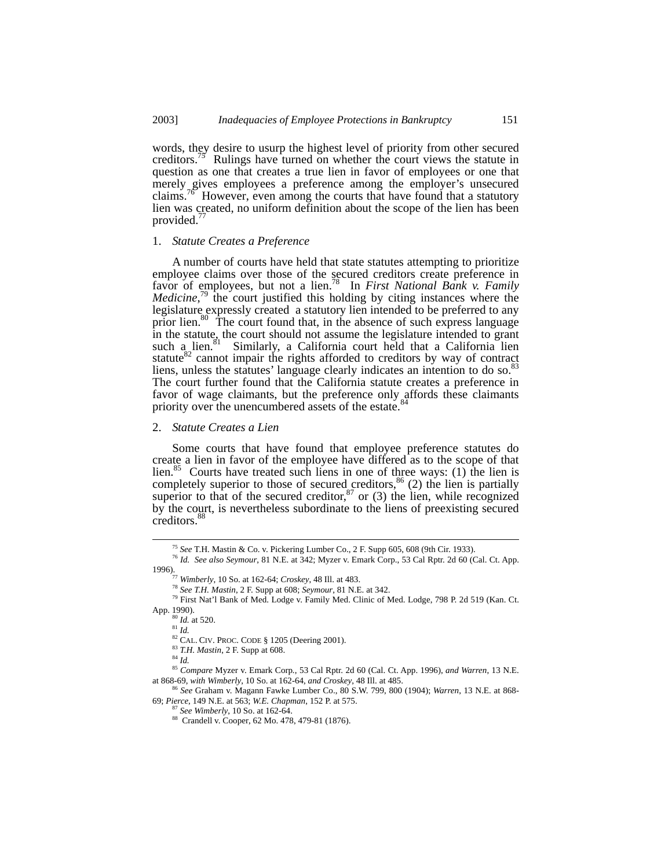words, they desire to usurp the highest level of priority from other secured creditors.<sup>15</sup> Rulings have turned on whether the court views the statute in question as one that creates a true lien in favor of employees or one that merely gives employees a preference among the employer's unsecured claims.<sup>76</sup> However, even among the courts that have found that a statutory lien was created, no uniform definition about the scope of the lien has been provided. [77](#page-10-2)

## 1. *Statute Creates a Preference*

A number of courts have held that state statutes attempting to prioritize employee claims over those of the secured creditors create preference in favor of employees, but not a lien.<sup>78</sup> In *First National Bank v. Family Medicine*<sup>[79](#page-10-4)</sup> the court justified this holding by citing instances where the legislature expressly created a statutory lien intended to be preferred to any prior lien.<sup>80</sup> The court found that, in the absence of such express language in the statute, the court should not assume the legislature intended to grant such a lien.<sup>[81](#page-10-6)</sup> Similarly, a California court held that a California lien statute $82$  cannot impair the rights afforded to creditors by way of contract liens, unless the statutes' language clearly indicates an intention to do so.<sup>8</sup> The court further found that the California statute creates a preference in favor of wage claimants, but the preference only affords these claimants priority over the unencumbered assets of the estate.<sup>8</sup>

#### 2. *Statute Creates a Lien*

Some courts that have found that employee preference statutes do create a lien in favor of the employee have differed as to the scope of that lien.<sup>85</sup> Courts have treated such liens in one of three ways: (1) the lien is completely superior to those of secured creditors,  $86$  (2) the lien is partially superior to that of the secured creditor,  $87$  or (3) the lien, while recognized by the court, is nevertheless subordinate to the liens of preexisting secured creditors.<sup>88</sup>

<span id="page-10-6"></span><span id="page-10-5"></span><sup>81</sup> *Id.*

<span id="page-10-7"></span>82 CAL. CIV. PROC. CODE § 1205 (Deering 2001).

<span id="page-10-8"></span><sup>83</sup> *T.H. Mastin*, 2 F. Supp at 608.

<span id="page-10-10"></span><span id="page-10-9"></span><sup>84</sup> *Id.*

<sup>86</sup> *See* Graham v. Magann Fawke Lumber Co., 80 S.W. 799, 800 (1904); *Warren*, 13 N.E. at 868- 69; *Pierce*, 149 N.E. at 563; *W.E. Chapman*, 152 P. at 575.

<span id="page-10-11"></span><sup>87</sup> *See Wimberly*, 10 So. at 162-64.

<span id="page-10-1"></span><span id="page-10-0"></span> <sup>75</sup> *See* T.H. Mastin & Co. v. Pickering Lumber Co., 2 F. Supp 605, 608 (9th Cir. 1933).

<sup>76</sup> *Id. See also Seymour*, 81 N.E. at 342; Myzer v. Emark Corp., 53 Cal Rptr. 2d 60 (Cal. Ct. App. 1996).

<span id="page-10-2"></span><sup>77</sup> *Wimberly*, 10 So. at 162-64; *Croskey*, 48 Ill. at 483.

<span id="page-10-4"></span><span id="page-10-3"></span><sup>78</sup> *See T.H. Mastin*, 2 F. Supp at 608; *Seymour*, 81 N.E. at 342.

<sup>79</sup> First Nat'l Bank of Med. Lodge v. Family Med. Clinic of Med. Lodge, 798 P. 2d 519 (Kan. Ct. App. 1990).

<sup>80</sup> *Id.* at 520.

<sup>85</sup> *Compare* Myzer v. Emark Corp*.*, 53 Cal Rptr. 2d 60 (Cal. Ct. App. 1996), *and Warren*, 13 N.E. at 868-69, *with Wimberly*, 10 So. at 162-64, *and Croskey*, 48 Ill. at 485.

<span id="page-10-13"></span><span id="page-10-12"></span><sup>88</sup> Crandell v. Cooper, 62 Mo. 478, 479-81 (1876).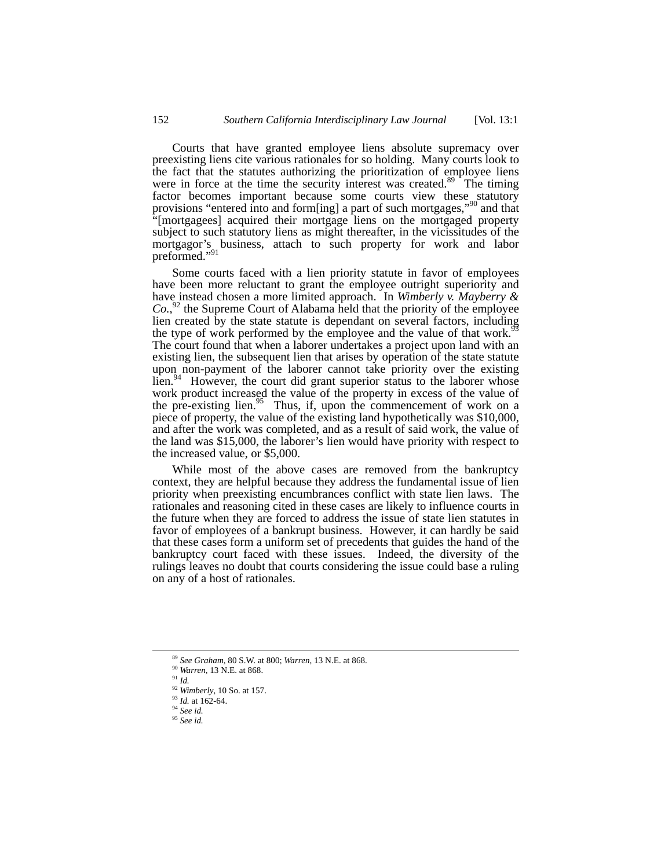Courts that have granted employee liens absolute supremacy over preexisting liens cite various rationales for so holding. Many courts look to the fact that the statutes authorizing the prioritization of employee liens were in force at the time the security interest was created.<sup>89</sup> The timing factor becomes important because some courts view these statutory provisions "entered into and form[ing] a part of such mortgages,["90](#page-11-1) and that "[mortgagees] acquired their mortgage liens on the mortgaged property subject to such statutory liens as might thereafter, in the vicissitudes of the mortgagor's business, attach to such property for work and labor preformed."[91](#page-11-2)

Some courts faced with a lien priority statute in favor of employees have been more reluctant to grant the employee outright superiority and have instead chosen a more limited approach. In *Wimberly v. Mayberry & Co.*, [92](#page-11-3) the Supreme Court of Alabama held that the priority of the employee lien created by the state statute is dependant on several factors, including the type of work performed by the employee and the value of that work.<sup>9</sup> The court found that when a laborer undertakes a project upon land with an existing lien, the subsequent lien that arises by operation of the state statute upon non-payment of the laborer cannot take priority over the existing lien.<sup>94</sup> However, the court did grant superior status to the laborer whose work product increased the value of the property in excess of the value of the pre-existing lien.<sup>95</sup> Thus, if, upon the commencement of work on a piece of property, the value of the existing land hypothetically was \$10,000, and after the work was completed, and as a result of said work, the value of the land was \$15,000, the laborer's lien would have priority with respect to the increased value, or \$5,000.

While most of the above cases are removed from the bankruptcy context, they are helpful because they address the fundamental issue of lien priority when preexisting encumbrances conflict with state lien laws. The rationales and reasoning cited in these cases are likely to influence courts in the future when they are forced to address the issue of state lien statutes in favor of employees of a bankrupt business. However, it can hardly be said that these cases form a uniform set of precedents that guides the hand of the bankruptcy court faced with these issues. Indeed, the diversity of the rulings leaves no doubt that courts considering the issue could base a ruling on any of a host of rationales.

<span id="page-11-0"></span> <sup>89</sup> *See Graham*, 80 S.W. at 800; *Warren*, 13 N.E. at 868.

<span id="page-11-1"></span><sup>90</sup> *Warren*, 13 N.E. at 868.

<span id="page-11-2"></span><sup>91</sup> *Id.*

<span id="page-11-3"></span><sup>92</sup> *Wimberly*, 10 So. at 157.

<span id="page-11-4"></span><sup>93</sup> *Id.* at 162-64.

<span id="page-11-5"></span><sup>94</sup> *See id.*

<span id="page-11-6"></span><sup>95</sup> *See id.*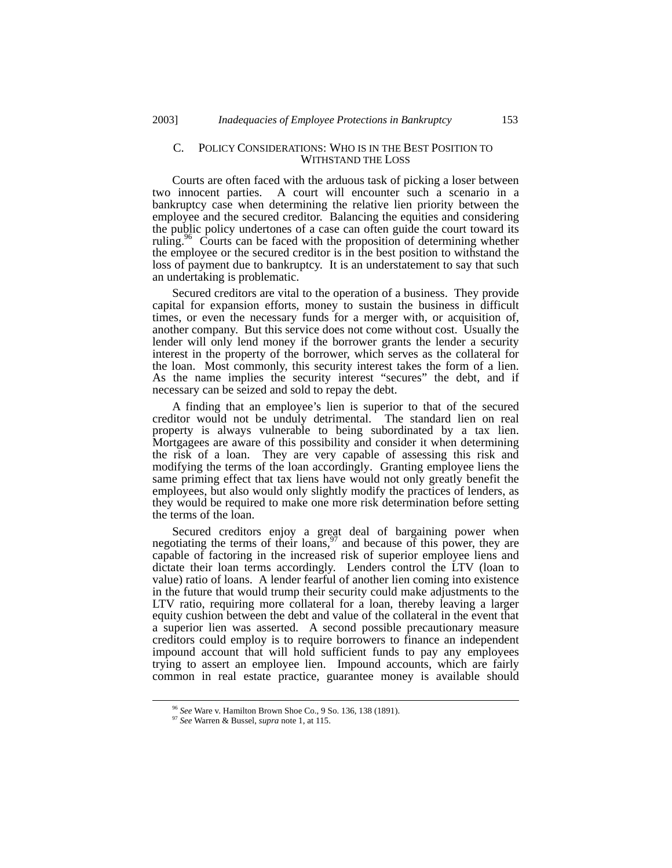# C. POLICY CONSIDERATIONS: WHO IS IN THE BEST POSITION TO WITHSTAND THE LOSS

Courts are often faced with the arduous task of picking a loser between two innocent parties. A court will encounter such a scenario in a bankruptcy case when determining the relative lien priority between the employee and the secured creditor. Balancing the equities and considering the public policy undertones of a case can often guide the court toward its ruling.<sup>96</sup> Courts can be faced with the proposition of determining whether the employee or the secured creditor is in the best position to withstand the loss of payment due to bankruptcy. It is an understatement to say that such an undertaking is problematic.

Secured creditors are vital to the operation of a business. They provide capital for expansion efforts, money to sustain the business in difficult times, or even the necessary funds for a merger with, or acquisition of, another company. But this service does not come without cost. Usually the lender will only lend money if the borrower grants the lender a security interest in the property of the borrower, which serves as the collateral for the loan. Most commonly, this security interest takes the form of a lien. As the name implies the security interest "secures" the debt, and if necessary can be seized and sold to repay the debt.

A finding that an employee's lien is superior to that of the secured creditor would not be unduly detrimental. The standard lien on real property is always vulnerable to being subordinated by a tax lien. Mortgagees are aware of this possibility and consider it when determining the risk of a loan. They are very capable of assessing this risk and modifying the terms of the loan accordingly. Granting employee liens the same priming effect that tax liens have would not only greatly benefit the employees, but also would only slightly modify the practices of lenders, as they would be required to make one more risk determination before setting the terms of the loan.

Secured creditors enjoy a great deal of bargaining power when negotiating the terms of their loans,  $97$  and because of this power, they are capable of factoring in the increased risk of superior employee liens and dictate their loan terms accordingly. Lenders control the LTV (loan to value) ratio of loans. A lender fearful of another lien coming into existence in the future that would trump their security could make adjustments to the LTV ratio, requiring more collateral for a loan, thereby leaving a larger equity cushion between the debt and value of the collateral in the event that a superior lien was asserted. A second possible precautionary measure creditors could employ is to require borrowers to finance an independent impound account that will hold sufficient funds to pay any employees trying to assert an employee lien. Impound accounts, which are fairly common in real estate practice, guarantee money is available should

<span id="page-12-0"></span> <sup>96</sup> *See* Ware v. Hamilton Brown Shoe Co., 9 So. 136, 138 (1891).

<span id="page-12-1"></span><sup>97</sup> *See* Warren & Bussel, *supra* note 1, at 115.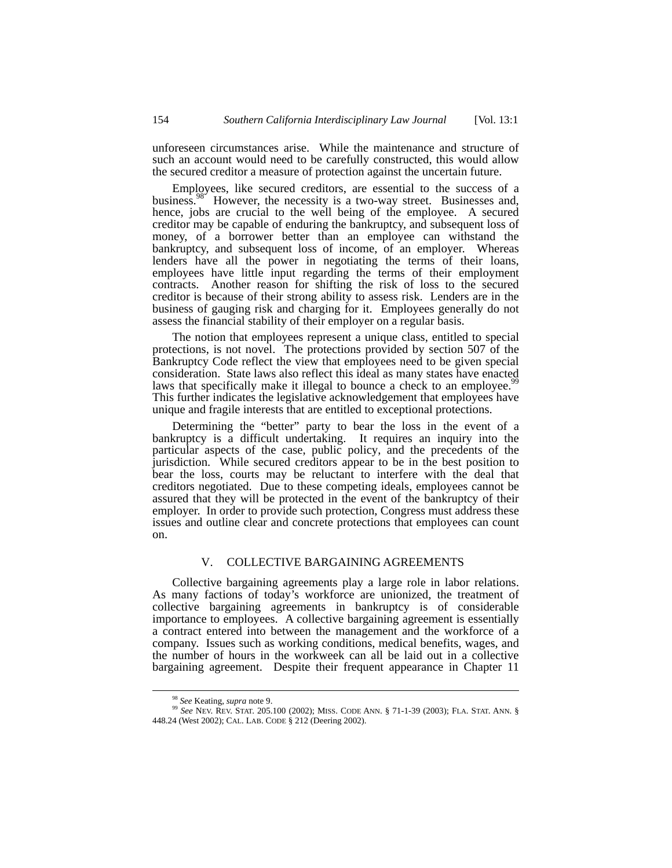unforeseen circumstances arise. While the maintenance and structure of such an account would need to be carefully constructed, this would allow the secured creditor a measure of protection against the uncertain future.

Employees, like secured creditors, are essential to the success of a business.<sup>98</sup> However, the necessity is a two-way street. Businesses and, hence, jobs are crucial to the well being of the employee. A secured creditor may be capable of enduring the bankruptcy, and subsequent loss of money, of a borrower better than an employee can withstand the bankruptcy, and subsequent loss of income, of an employer. Whereas lenders have all the power in negotiating the terms of their loans, employees have little input regarding the terms of their employment contracts. Another reason for shifting the risk of loss to the secured creditor is because of their strong ability to assess risk. Lenders are in the business of gauging risk and charging for it. Employees generally do not assess the financial stability of their employer on a regular basis.

The notion that employees represent a unique class, entitled to special protections, is not novel. The protections provided by section 507 of the Bankruptcy Code reflect the view that employees need to be given special consideration. State laws also reflect this ideal as many states have enacted laws that specifically make it illegal to bounce a check to an employee.<sup>99</sup> This further indicates the legislative acknowledgement that employees have unique and fragile interests that are entitled to exceptional protections.

Determining the "better" party to bear the loss in the event of a bankruptcy is a difficult undertaking. It requires an inquiry into the particular aspects of the case, public policy, and the precedents of the jurisdiction. While secured creditors appear to be in the best position to bear the loss, courts may be reluctant to interfere with the deal that creditors negotiated. Due to these competing ideals, employees cannot be assured that they will be protected in the event of the bankruptcy of their employer. In order to provide such protection, Congress must address these issues and outline clear and concrete protections that employees can count on.

## V. COLLECTIVE BARGAINING AGREEMENTS

Collective bargaining agreements play a large role in labor relations. As many factions of today's workforce are unionized, the treatment of collective bargaining agreements in bankruptcy is of considerable importance to employees. A collective bargaining agreement is essentially a contract entered into between the management and the workforce of a company. Issues such as working conditions, medical benefits, wages, and the number of hours in the workweek can all be laid out in a collective bargaining agreement. Despite their frequent appearance in Chapter 11

<span id="page-13-1"></span><span id="page-13-0"></span> <sup>98</sup> *See* Keating, *supra* note 9.

<sup>99</sup> *See* NEV. REV. STAT. 205.100 (2002); MISS. CODE ANN. § 71-1-39 (2003); FLA. STAT. ANN. § 448.24 (West 2002); CAL. LAB. CODE § 212 (Deering 2002).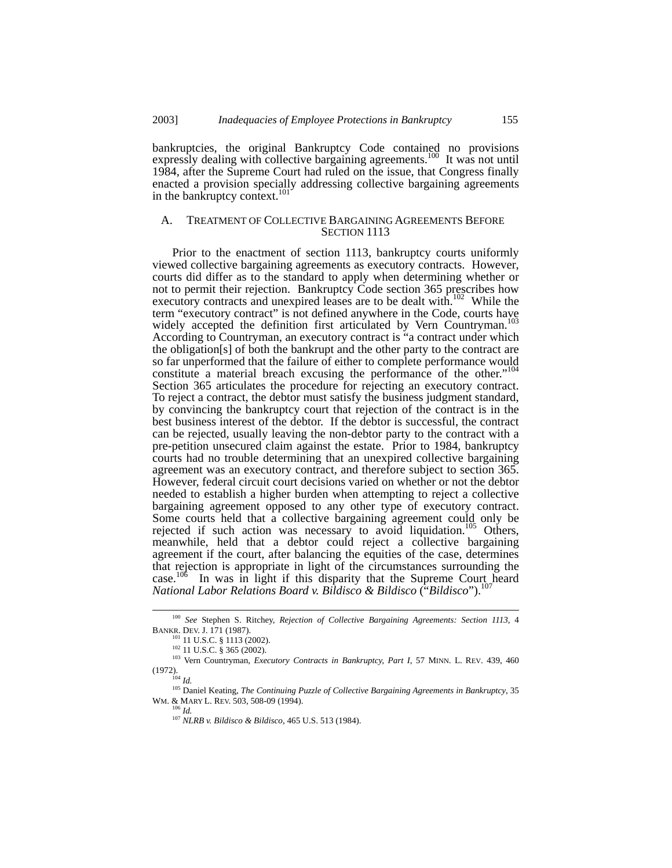bankruptcies, the original Bankruptcy Code contained no provisions expressly dealing with collective bargaining agreements.<sup>100</sup> It was not until 1984, after the Supreme Court had ruled on the issue, that Congress finally enacted a provision specially addressing collective bargaining agreements in the bankruptcy context.<sup>[101](#page-14-1)</sup>

## A. TREATMENT OF COLLECTIVE BARGAINING AGREEMENTS BEFORE SECTION 1113

Prior to the enactment of section 1113, bankruptcy courts uniformly viewed collective bargaining agreements as executory contracts. However, courts did differ as to the standard to apply when determining whether or not to permit their rejection. Bankruptcy Code section 365 prescribes how executory contracts and unexpired leases are to be dealt with.[102](#page-14-2) While the term "executory contract" is not defined anywhere in the Code, courts have widely accepted the definition first articulated by Vern Countryman.<sup>10</sup> According to Countryman, an executory contract is "a contract under which the obligation[s] of both the bankrupt and the other party to the contract are so far unperformed that the failure of either to complete performance would constitute a material breach excusing the performance of the other."<sup>104</sup> Section 365 articulates the procedure for rejecting an executory contract. To reject a contract, the debtor must satisfy the business judgment standard, by convincing the bankruptcy court that rejection of the contract is in the best business interest of the debtor. If the debtor is successful, the contract can be rejected, usually leaving the non-debtor party to the contract with a pre-petition unsecured claim against the estate. Prior to 1984, bankruptcy courts had no trouble determining that an unexpired collective bargaining agreement was an executory contract, and therefore subject to section 365. However, federal circuit court decisions varied on whether or not the debtor needed to establish a higher burden when attempting to reject a collective bargaining agreement opposed to any other type of executory contract. Some courts held that a collective bargaining agreement could only be rejected if such action was necessary to avoid liquidation.<sup>105</sup> Others, meanwhile, held that a debtor could reject a collective bargaining agreement if the court, after balancing the equities of the case, determines that rejection is appropriate in light of the circumstances surrounding the case.<sup>106</sup> In was in light if this disparity that the Supreme Court heard In was in light if this disparity that the Supreme Court heard *National Labor Relations Board v. Bildisco & Bildisco* ("*Bildisco*").<sup>1</sup>

103 Vern Countryman, *Executory Contracts in Bankruptcy, Part I*, 57 MINN. L. REV. 439, 460 (1972).

105 Daniel Keating, *The Continuing Puzzle of Collective Bargaining Agreements in Bankruptcy*, 35 WM. & MARY L. REV. 503, 508-09 (1994).

 <sup>100</sup> *See* Stephen S. Ritchey, *Rejection of Collective Bargaining Agreements: Section 1113,*<sup>4</sup> BANKR. DEV. J. 171 (1987).

<span id="page-14-2"></span><span id="page-14-1"></span><span id="page-14-0"></span><sup>101 11</sup> U.S.C. § 1113 (2002).

<span id="page-14-3"></span> $^{102}$  11 U.S.C. § 365 (2002).

<span id="page-14-4"></span><sup>104</sup> *Id.*

<span id="page-14-6"></span><span id="page-14-5"></span><sup>106</sup> *Id.*

<span id="page-14-7"></span><sup>107</sup> *NLRB v. Bildisco & Bildisco*, 465 U.S. 513 (1984).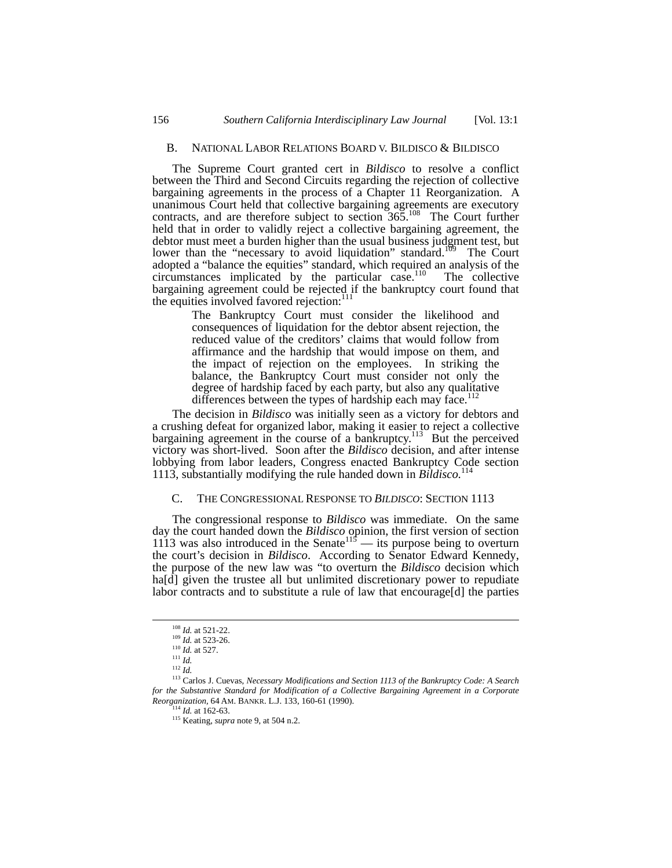#### B. NATIONAL LABOR RELATIONS BOARD V. BILDISCO & BILDISCO

The Supreme Court granted cert in *Bildisco* to resolve a conflict between the Third and Second Circuits regarding the rejection of collective bargaining agreements in the process of a Chapter 11 Reorganization. A unanimous Court held that collective bargaining agreements are executory contracts, and are therefore subject to section 365.<sup>108</sup> The Court further held that in order to validly reject a collective bargaining agreement, the debtor must meet a burden higher than the usual business judgment test, but lower than the "necessary to avoid liquidation" standard.<sup>109</sup> The Court adopted a "balance the equities" standard, which required an analysis of the circumstances implicated by the particular case. [110](#page-15-2) The collective bargaining agreement could be rejected if the bankruptcy court found that the equities involved favored rejection:<sup>[111](#page-15-3)</sup>

> The Bankruptcy Court must consider the likelihood and consequences of liquidation for the debtor absent rejection, the reduced value of the creditors' claims that would follow from affirmance and the hardship that would impose on them, and the impact of rejection on the employees. In striking the balance, the Bankruptcy Court must consider not only the degree of hardship faced by each party, but also any qualitative differences between the types of hardship each may face.<sup>[112](#page-15-4)</sup>

The decision in *Bildisco* was initially seen as a victory for debtors and a crushing defeat for organized labor, making it easier to reject a collective bargaining agreement in the course of a bankruptcy.<sup>113</sup> But the perceived victory was short-lived. Soon after the *Bildisco* decision, and after intense lobbying from labor leaders, Congress enacted Bankruptcy Code section 1113, substantially modifying the rule handed down in *Bildisco.*[114](#page-15-6)

#### C. THE CONGRESSIONAL RESPONSE TO *BILDISCO*: SECTION 1113

The congressional response to *Bildisco* was immediate. On the same day the court handed down the *Bildisco* opinion, the first version of section 1113 was also introduced in the Senate<sup>115</sup> — its purpose being to overturn the court's decision in *Bildisco*. According to Senator Edward Kennedy, the purpose of the new law was "to overturn the *Bildisco* decision which ha<sup>[d]</sup> given the trustee all but unlimited discretionary power to repudiate labor contracts and to substitute a rule of law that encourage[d] the parties

<span id="page-15-0"></span> <sup>108</sup> *Id.* at 521-22.

<span id="page-15-1"></span><sup>109</sup> *Id.* at 523-26.

<span id="page-15-2"></span><sup>110</sup> *Id.* at 527.

<span id="page-15-3"></span><sup>111</sup> *Id.*

<span id="page-15-5"></span><span id="page-15-4"></span><sup>112</sup> *Id.*

<sup>113</sup> Carlos J. Cuevas, *Necessary Modifications and Section 1113 of the Bankruptcy Code: A Search for the Substantive Standard for Modification of a Collective Bargaining Agreement in a Corporate Reorganization,* 64 AM. BANKR. L.J. 133, 160-61 (1990).

<span id="page-15-6"></span> $\int_{114}^{114}$  *Id.* at 162-63.

<span id="page-15-7"></span><sup>115</sup> Keating, *supra* note 9, at 504 n.2.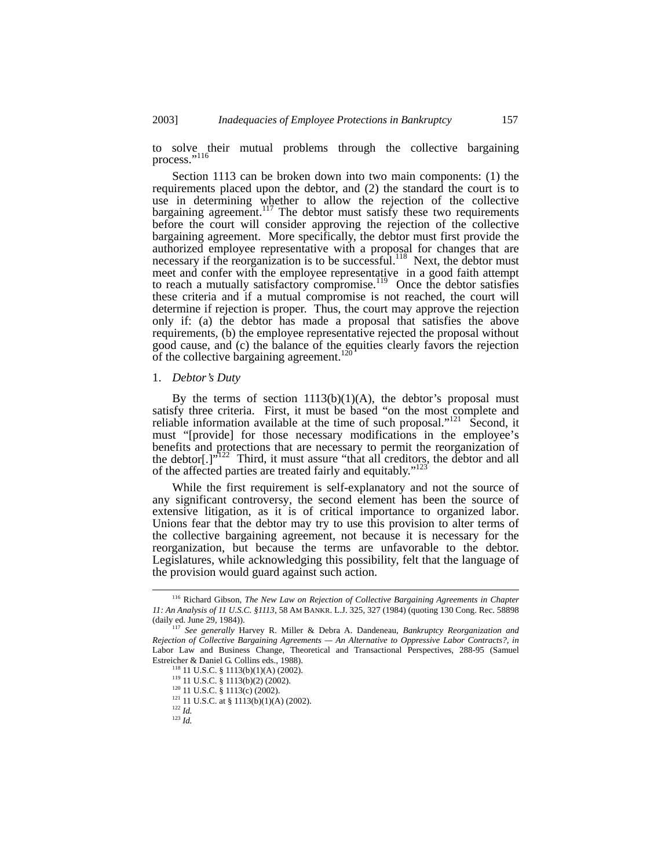to solve their mutual problems through the collective bargaining process."<sup>[116](#page-16-0)</sup>

Section 1113 can be broken down into two main components: (1) the requirements placed upon the debtor, and (2) the standard the court is to use in determining whether to allow the rejection of the collective bargaining agreement.<sup>[117](#page-16-1)</sup> The debtor must satisfy these two requirements before the court will consider approving the rejection of the collective bargaining agreement. More specifically, the debtor must first provide the authorized employee representative with a proposal for changes that are necessary if the reorganization is to be successful.<sup>118</sup> Next, the debtor must meet and confer with the employee representative in a good faith attempt to reach a mutually satisfactory compromise.<sup>119</sup> Once the debtor satisfies these criteria and if a mutual compromise is not reached, the court will determine if rejection is proper. Thus, the court may approve the rejection only if: (a) the debtor has made a proposal that satisfies the above requirements, (b) the employee representative rejected the proposal without good cause, and (c) the balance of the equities clearly favors the rejection of the collective bargaining agreement.<sup>[120](#page-16-4)</sup>

#### 1. *Debtor's Duty*

By the terms of section  $1113(b)(1)(A)$ , the debtor's proposal must satisfy three criteria. First, it must be based "on the most complete and reliable information available at the time of such proposal."<sup>121</sup> Second, it must "[provide] for those necessary modifications in the employee's benefits and protections that are necessary to permit the reorganization of the debtor[.]<sup>",122</sup> Third, it must assure "that all creditors, the debtor and all of the effected perties are tracted fairly and equitably  $v^{123}$  $v^{123}$  $v^{123}$ of the affected parties are treated fairly and equitably."<sup>12</sup>

While the first requirement is self-explanatory and not the source of any significant controversy, the second element has been the source of extensive litigation, as it is of critical importance to organized labor. Unions fear that the debtor may try to use this provision to alter terms of the collective bargaining agreement, not because it is necessary for the reorganization, but because the terms are unfavorable to the debtor. Legislatures, while acknowledging this possibility, felt that the language of the provision would guard against such action.

<span id="page-16-0"></span> <sup>116</sup> Richard Gibson, *The New Law on Rejection of Collective Bargaining Agreements in Chapter 11: An Analysis of 11 U.S.C. §1113*, 58 AM BANKR. L.J. 325, 327 (1984) (quoting 130 Cong. Rec. 58898 (daily ed. June 29, 1984)).

<span id="page-16-1"></span><sup>117</sup> *See generally* Harvey R. Miller & Debra A. Dandeneau, *Bankruptcy Reorganization and Rejection of Collective Bargaining Agreements — An Alternative to Oppressive Labor Contracts?, in* Labor Law and Business Change, Theoretical and Transactional Perspectives, 288-95 (Samuel Estreicher & Daniel G. Collins eds., 1988). 118 11 U.S.C. § 1113(b)(1)(A) (2002).

<span id="page-16-2"></span>

<span id="page-16-3"></span><sup>119 11</sup> U.S.C. § 1113(b)(2) (2002).

<span id="page-16-4"></span><sup>&</sup>lt;sup>120</sup> 11 U.S.C. § 1113(c) (2002).

<span id="page-16-5"></span> $121$  11 U.S.C. at § 1113(b)(1)(A) (2002).<br><sup>122</sup> *Id.* 

<span id="page-16-6"></span>

<span id="page-16-7"></span><sup>123</sup> *Id.*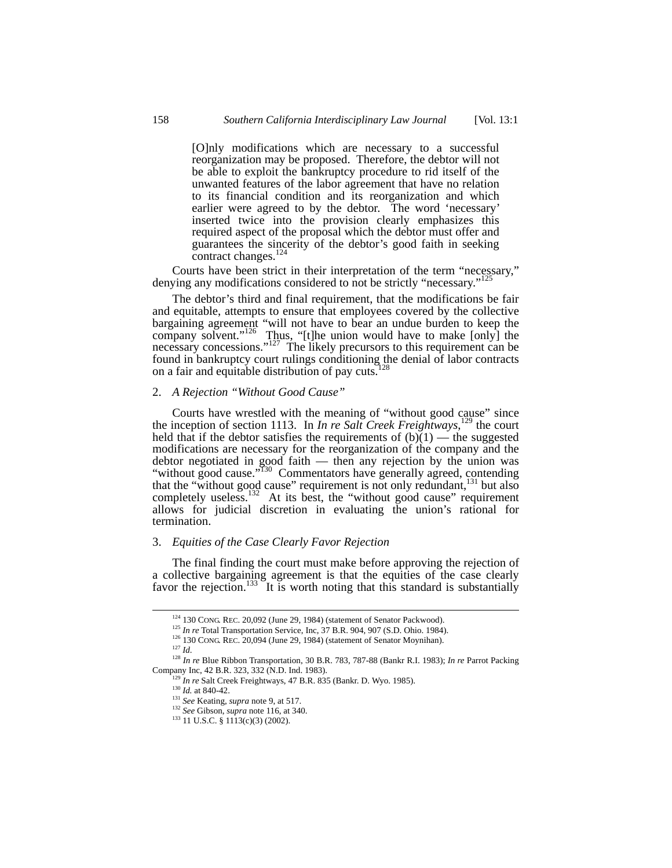[O]nly modifications which are necessary to a successful reorganization may be proposed. Therefore, the debtor will not be able to exploit the bankruptcy procedure to rid itself of the unwanted features of the labor agreement that have no relation to its financial condition and its reorganization and which earlier were agreed to by the debtor. The word 'necessary' inserted twice into the provision clearly emphasizes this required aspect of the proposal which the debtor must offer and guarantees the sincerity of the debtor's good faith in seeking contract changes.<sup>12</sup>

Courts have been strict in their interpretation of the term "necessary," denying any modifications considered to not be strictly "necessary."<sup>[125](#page-17-1)</sup>

The debtor's third and final requirement, that the modifications be fair and equitable, attempts to ensure that employees covered by the collective bargaining agreement "will not have to bear an undue burden to keep the company solvent." $126$  Thus, "[t]he union would have to make [only] the necessary concessions."<sup>127</sup> The likely precursors to this requirement can be found in bankruptcy court rulings conditioning the denial of labor contracts on a fair and equitable distribution of pay cuts.<sup>1</sup>

## 2. *A Rejection "Without Good Cause"*

Courts have wrestled with the meaning of "without good cause" since the inception of section 1113. In *In re Salt Creek Freightways*, [129](#page-17-5) the court held that if the debtor satisfies the requirements of  $(b)(1)$  — the suggested modifications are necessary for the reorganization of the company and the debtor negotiated in good faith — then any rejection by the union was "without good cause."<sup>130</sup> Commentators have generally agreed, contending that the "without good cause" requirement is not only redundant,<sup>131</sup> but also completely useless. $132$  At its best, the "without good cause" requirement allows for judicial discretion in evaluating the union's rational for termination.

## 3. *Equities of the Case Clearly Favor Rejection*

The final finding the court must make before approving the rejection of a collective bargaining agreement is that the equities of the case clearly favor the rejection.<sup>133</sup> It is worth noting that this standard is substantially

<span id="page-17-0"></span><sup>&</sup>lt;sup>124</sup> 130 CONG. REC. 20,092 (June 29, 1984) (statement of Senator Packwood). <sup>125</sup> *In re* Total Transportation Service, Inc, 37 B.R. 904, 907 (S.D. Ohio. 1984).

<span id="page-17-1"></span>

<span id="page-17-2"></span> $126$  130 CONG. REC. 20,094 (June 29, 1984) (statement of Senator Moynihan).<br> $127$  *Id.* 

<span id="page-17-4"></span><span id="page-17-3"></span>

<sup>127</sup> *Id*. 128 *In re* Blue Ribbon Transportation, 30 B.R. 783, 787-88 (Bankr R.I. 1983); *In re* Parrot Packing Company Inc, 42 B.R. 323, 332 (N.D. Ind. 1983).

<sup>129</sup> *In re* Salt Creek Freightways, 47 B.R. 835 (Bankr. D. Wyo. 1985).

<span id="page-17-6"></span><span id="page-17-5"></span><sup>130</sup> *Id.* at 840-42.

<span id="page-17-7"></span><sup>131</sup> *See* Keating, *supra* note 9, at 517.

<span id="page-17-8"></span><sup>132</sup> *See* Gibson, *supra* note 116, at 340.

<span id="page-17-9"></span><sup>133 11</sup> U.S.C. § 1113(c)(3) (2002).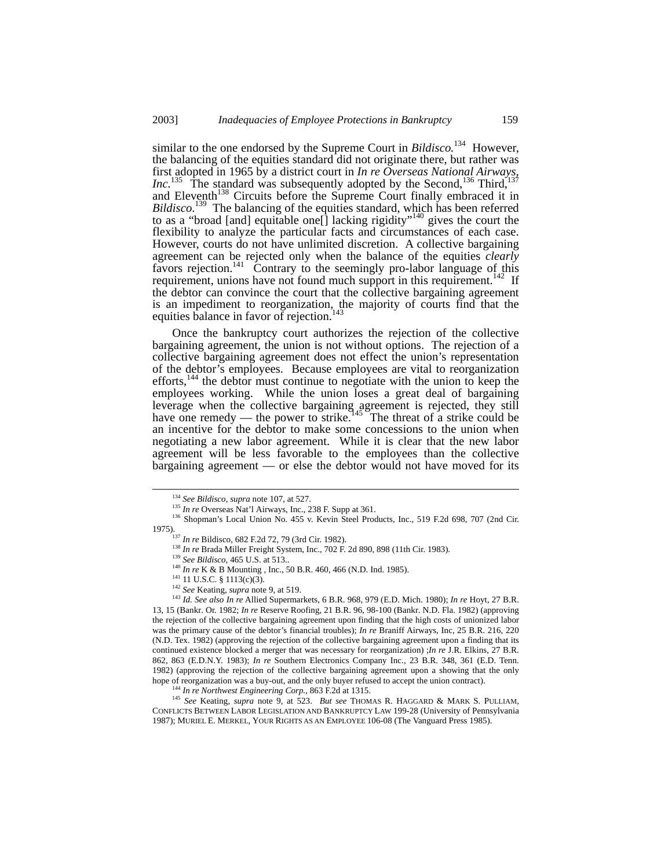similar to the one endorsed by the Supreme Court in *Bildisco*.<sup>[134](#page-18-0)</sup> However, the balancing of the equities standard did not originate there, but rather was first adopted in 1965 by a district court in *In re Overseas National Airways, Inc.*<sup>135</sup> The standard was subsequently adopted by the Second,<sup>136</sup> Third, and Eleventh<sup>138</sup> Circuits before the Supreme Court finally embraced it in Bildisco.<sup>139</sup> The balancing of the equities standard, which has been referred to as a "broad [and] equitable one[] lacking rigidity"<sup>140</sup> gives the court the flexibility to analyze the particular facts and circumstances of each case. However, courts do not have unlimited discretion. A collective bargaining agreement can be rejected only when the balance of the equities *clearly* favors rejection.<sup>141</sup> Contrary to the seemingly pro-labor language of this requirement, unions have not found much support in this requirement.<sup>142</sup> If the debtor can convince the court that the collective bargaining agreement is an impediment to reorganization, the majority of courts find that the equities balance in favor of rejection.<sup>[143](#page-18-9)</sup>

Once the bankruptcy court authorizes the rejection of the collective bargaining agreement, the union is not without options. The rejection of a collective bargaining agreement does not effect the union's representation of the debtor's employees. Because employees are vital to reorganization efforts,<sup>144</sup> the debtor must continue to negotiate with the union to keep the employees working. While the union loses a great deal of bargaining leverage when the collective bargaining agreement is rejected, they still have one remedy — the power to strike.<sup>[145]</sup> The threat of a strike could be an incentive for the debtor to make some concessions to the union when negotiating a new labor agreement. While it is clear that the new labor agreement will be less favorable to the employees than the collective bargaining agreement — or else the debtor would not have moved for its

<sup>145</sup> *See* Keating, *supra* note 9, at 523. *But see* THOMAS R. HAGGARD & MARK S. PULLIAM, CONFLICTS BETWEEN LABOR LEGISLATION AND BANKRUPTCY LAW 199-28 (University of Pennsylvania 1987); MURIEL E. MERKEL, YOUR RIGHTS AS AN EMPLOYEE 106-08 (The Vanguard Press 1985).

<span id="page-18-0"></span> <sup>134</sup> *See Bildisco, supra* note 107, at 527.

<span id="page-18-2"></span><span id="page-18-1"></span><sup>&</sup>lt;sup>135</sup> *In re* Overseas Nat'l Airways, Inc., 238 F. Supp at 361.

<sup>136</sup> Shopman's Local Union No. 455 v. Kevin Steel Products, Inc., 519 F.2d 698, 707 (2nd Cir. 1975).

<span id="page-18-3"></span><sup>137</sup> *In re* Bildisco, 682 F.2d 72, 79 (3rd Cir. 1982).

<span id="page-18-4"></span><sup>138</sup> *In re* Brada Miller Freight System, Inc., 702 F. 2d 890, 898 (11th Cir. 1983).

<span id="page-18-5"></span><sup>139</sup> *See Bildisco,* 465 U.S. at 513..

<span id="page-18-6"></span><sup>140</sup> *In re* K & B Mounting , Inc., 50 B.R. 460, 466 (N.D. Ind. 1985).

<span id="page-18-7"></span> $141$  11 U.S.C. § 1113(c)(3).

<span id="page-18-9"></span><span id="page-18-8"></span><sup>142</sup> *See* Keating, *supra* note 9, at 519.

<sup>143</sup> *Id. See also In re* Allied Supermarkets, 6 B.R. 968, 979 (E.D. Mich. 1980); *In re* Hoyt, 27 B.R. 13, 15 (Bankr. Or. 1982; *In re* Reserve Roofing, 21 B.R. 96, 98-100 (Bankr. N.D. Fla. 1982) (approving the rejection of the collective bargaining agreement upon finding that the high costs of unionized labor was the primary cause of the debtor's financial troubles); *In re* Braniff Airways, Inc, 25 B.R. 216, 220 (N.D. Tex. 1982) (approving the rejection of the collective bargaining agreement upon a finding that its continued existence blocked a merger that was necessary for reorganization) ;*In re* J.R. Elkins, 27 B.R. 862, 863 (E.D.N.Y. 1983); *In re* Southern Electronics Company Inc., 23 B.R. 348, 361 (E.D. Tenn. 1982) (approving the rejection of the collective bargaining agreement upon a showing that the only hope of reorganization was a buy-out, and the only buyer refused to accept the union contract). 144 *In re Northwest Engineering Corp.*, 863 F.2d at 1315.

<span id="page-18-11"></span><span id="page-18-10"></span>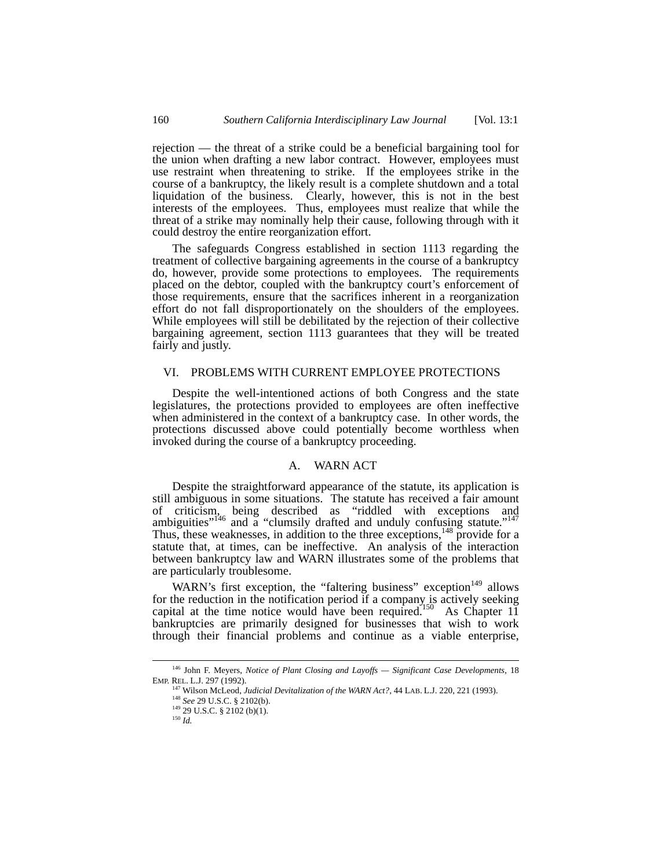rejection — the threat of a strike could be a beneficial bargaining tool for the union when drafting a new labor contract. However, employees must use restraint when threatening to strike. If the employees strike in the course of a bankruptcy, the likely result is a complete shutdown and a total liquidation of the business. Clearly, however, this is not in the best interests of the employees. Thus, employees must realize that while the threat of a strike may nominally help their cause, following through with it could destroy the entire reorganization effort.

The safeguards Congress established in section 1113 regarding the treatment of collective bargaining agreements in the course of a bankruptcy do, however, provide some protections to employees. The requirements placed on the debtor, coupled with the bankruptcy court's enforcement of those requirements, ensure that the sacrifices inherent in a reorganization effort do not fall disproportionately on the shoulders of the employees. While employees will still be debilitated by the rejection of their collective bargaining agreement, section 1113 guarantees that they will be treated fairly and justly.

## VI. PROBLEMS WITH CURRENT EMPLOYEE PROTECTIONS

Despite the well-intentioned actions of both Congress and the state legislatures, the protections provided to employees are often ineffective when administered in the context of a bankruptcy case. In other words, the protections discussed above could potentially become worthless when invoked during the course of a bankruptcy proceeding.

#### A. WARN ACT

Despite the straightforward appearance of the statute, its application is still ambiguous in some situations. The statute has received a fair amount of criticism, being described as "riddled with exceptions and ambiguities"<sup>146</sup> and a "clumsily drafted and unduly confusing statute."<sup>147</sup> Thus, these weaknesses, in addition to the three exceptions,  $148$  provide for a statute that, at times, can be ineffective. An analysis of the interaction between bankruptcy law and WARN illustrates some of the problems that are particularly troublesome.

WARN's first exception, the "faltering business" exception  $149$  allows for the reduction in the notification period if a company is actively seeking capital at the time notice would have been required.<sup>150</sup> As Chapter  $11$ bankruptcies are primarily designed for businesses that wish to work through their financial problems and continue as a viable enterprise,

 <sup>146</sup> John F. Meyers, *Notice of Plant Closing and Layoffs — Significant Case Developments*, 18 EMP. REL. L.J. 297 (1992).

<span id="page-19-1"></span><span id="page-19-0"></span><sup>&</sup>lt;sup>147</sup> Wilson McLeod, *Judicial Devitalization of the WARN Act?*, 44 LAB. L.J. 220, 221 (1993).<br><sup>148</sup> *See* 29 U.S.C. § 2102(b).

<span id="page-19-3"></span><span id="page-19-2"></span>

<sup>&</sup>lt;sup>149</sup> 29 U.S.C. § 2102 (b)(1).

<span id="page-19-4"></span><sup>150</sup> *Id.*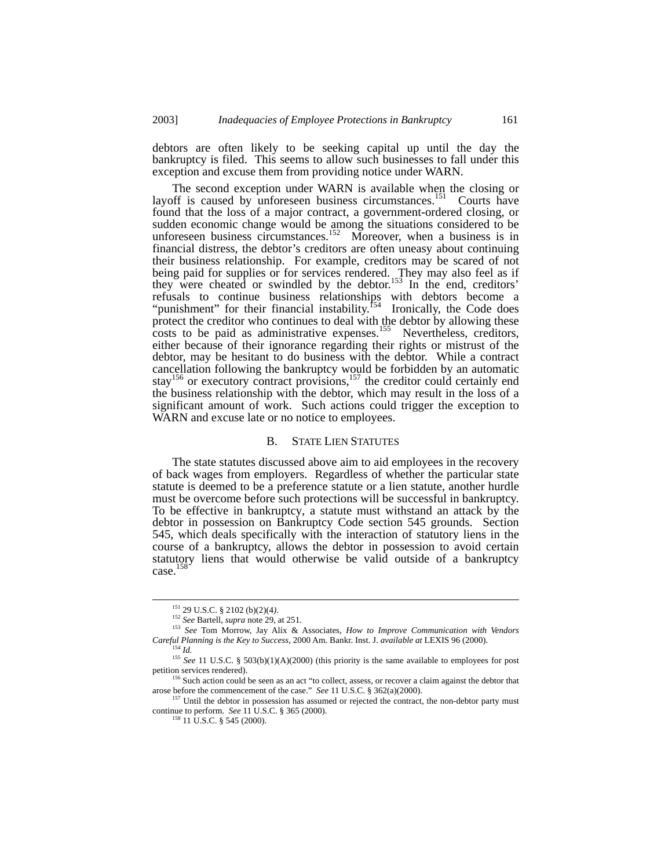debtors are often likely to be seeking capital up until the day the bankruptcy is filed. This seems to allow such businesses to fall under this exception and excuse them from providing notice under WARN.

The second exception under WARN is available when the closing or layoff is caused by unforeseen business circumstances.<sup>151</sup> Courts have found that the loss of a major contract, a government-ordered closing, or sudden economic change would be among the situations considered to be unforeseen business circumstances.<sup>152</sup> Moreover, when a business is in financial distress, the debtor's creditors are often uneasy about continuing their business relationship. For example, creditors may be scared of not being paid for supplies or for services rendered. They may also feel as if they were cheated or swindled by the debtor.<sup>153</sup> In the end, creditors' refusals to continue business relationships with debtors become a "punishment" for their financial instability.<sup> $154$ </sup> Ironically, the Code does protect the creditor who continues to deal with the debtor by allowing these costs to be paid as administrative expenses.<sup>155</sup> Nevertheless, creditors, either because of their ignorance regarding their rights or mistrust of the debtor, may be hesitant to do business with the debtor. While a contract cancellation following the bankruptcy would be forbidden by an automatic stay<sup>156</sup> or executory contract provisions,<sup>157</sup> the creditor could certainly end the business relationship with the debtor, which may result in the loss of a significant amount of work. Such actions could trigger the exception to WARN and excuse late or no notice to employees.

#### B. STATE LIEN STATUTES

The state statutes discussed above aim to aid employees in the recovery of back wages from employers. Regardless of whether the particular state statute is deemed to be a preference statute or a lien statute, another hurdle must be overcome before such protections will be successful in bankruptcy. To be effective in bankruptcy, a statute must withstand an attack by the debtor in possession on Bankruptcy Code section 545 grounds. Section 545, which deals specifically with the interaction of statutory liens in the course of a bankruptcy, allows the debtor in possession to avoid certain statutory liens that would otherwise be valid outside of a bankruptcy case. $158$ 

<span id="page-20-2"></span><span id="page-20-1"></span><span id="page-20-0"></span>

 <sup>151 29</sup> U.S.C. § 2102 (b)(2)(4*)*. 152 *See* Bartell, *supra* note 29, at 251.

<sup>153</sup> *See* Tom Morrow, Jay Alix & Associates, *How to Improve Communication with Vendors Careful Planning is the Key to Success*, 2000 Am. Bankr. Inst. J. *available at* LEXIS 96 (2000).

<span id="page-20-4"></span><span id="page-20-3"></span><sup>154</sup> *Id.*

<sup>155</sup> *See* 11 U.S.C. § 503(b)(1)(A)(2000) (this priority is the same available to employees for post petition services rendered).<br><sup>156</sup> Such action could be seen as an act "to collect, assess, or recover a claim against the debtor that

<span id="page-20-5"></span>arose before the commencement of the case." *See* 11 U.S.C. § 362(a)(2000).

<sup>&</sup>lt;sup>157</sup> Until the debtor in possession has assumed or rejected the contract, the non-debtor party must continue to perform. *See* 11 U.S.C. § 365 (2000).

<span id="page-20-7"></span><span id="page-20-6"></span><sup>158 11</sup> U.S.C. § 545 (2000).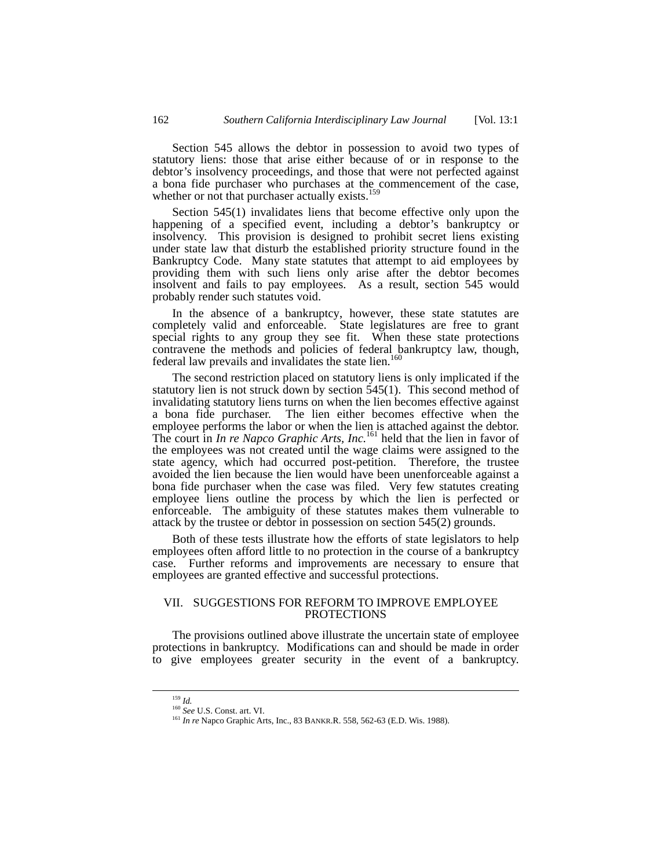Section 545 allows the debtor in possession to avoid two types of statutory liens: those that arise either because of or in response to the debtor's insolvency proceedings, and those that were not perfected against a bona fide purchaser who purchases at the commencement of the case, whether or not that purchaser actually exists.<sup>[159](#page-21-0)</sup>

Section 545(1) invalidates liens that become effective only upon the happening of a specified event, including a debtor's bankruptcy or insolvency. This provision is designed to prohibit secret liens existing under state law that disturb the established priority structure found in the Bankruptcy Code. Many state statutes that attempt to aid employees by providing them with such liens only arise after the debtor becomes insolvent and fails to pay employees. As a result, section 545 would probably render such statutes void.

In the absence of a bankruptcy, however, these state statutes are completely valid and enforceable. State legislatures are free to grant special rights to any group they see fit. When these state protections contravene the methods and policies of federal bankruptcy law, though, federal law prevails and invalidates the state lien.<sup>[160](#page-21-1)</sup>

The second restriction placed on statutory liens is only implicated if the statutory lien is not struck down by section 545(1). This second method of invalidating statutory liens turns on when the lien becomes effective against a bona fide purchaser. The lien either becomes effective when the employee performs the labor or when the lien is attached against the debtor. The court in *In re Napco Graphic Arts, Inc.*[161](#page-21-2) held that the lien in favor of the employees was not created until the wage claims were assigned to the state agency, which had occurred post-petition. Therefore, the trustee avoided the lien because the lien would have been unenforceable against a bona fide purchaser when the case was filed. Very few statutes creating employee liens outline the process by which the lien is perfected or enforceable. The ambiguity of these statutes makes them vulnerable to attack by the trustee or debtor in possession on section 545(2) grounds.

Both of these tests illustrate how the efforts of state legislators to help employees often afford little to no protection in the course of a bankruptcy case. Further reforms and improvements are necessary to ensure that employees are granted effective and successful protections.

# VII. SUGGESTIONS FOR REFORM TO IMPROVE EMPLOYEE **PROTECTIONS**

The provisions outlined above illustrate the uncertain state of employee protections in bankruptcy. Modifications can and should be made in order to give employees greater security in the event of a bankruptcy.

<span id="page-21-0"></span><sup>&</sup>lt;sup>159</sup> *Id.*<br><sup>160</sup> *See* U.S. Const. art. VI.

<span id="page-21-2"></span><span id="page-21-1"></span><sup>&</sup>lt;sup>161</sup> *In re* Napco Graphic Arts, Inc., 83 BANKR.R. 558, 562-63 (E.D. Wis. 1988).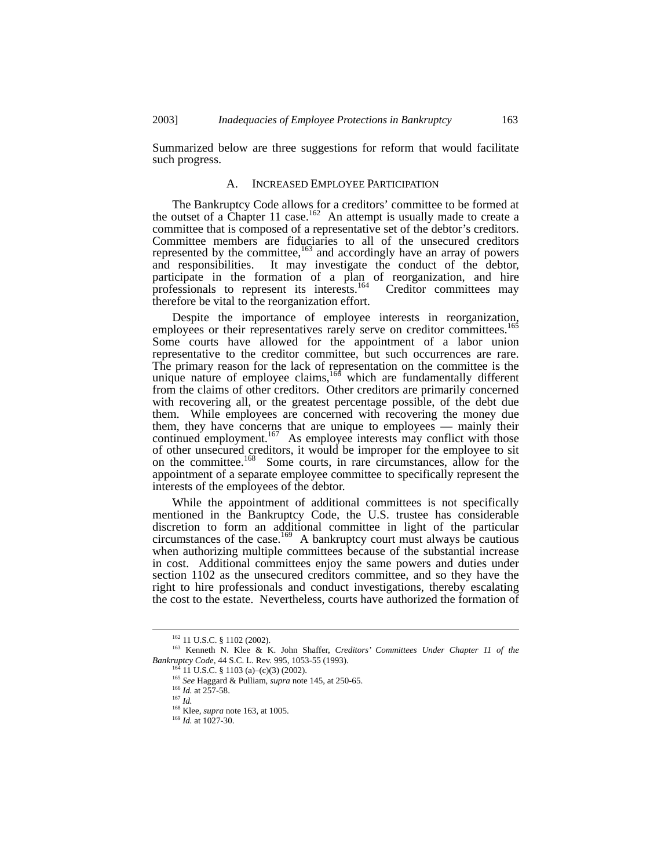Summarized below are three suggestions for reform that would facilitate such progress.

## A. INCREASED EMPLOYEE PARTICIPATION

The Bankruptcy Code allows for a creditors' committee to be formed at the outset of a Chapter 11 case.<sup>162</sup> An attempt is usually made to create a committee that is composed of a representative set of the debtor's creditors. Committee members are fiduciaries to all of the unsecured creditors represented by the committee,  $^{163}$  and accordingly have an array of powers and responsibilities. It may investigate the conduct of the debtor, participate in the formation of a plan of reorganization, and hire professionals to represent its interests.<sup>164</sup> Creditor committees may therefore be vital to the reorganization effort.

Despite the importance of employee interests in reorganization, employees or their representatives rarely serve on creditor committees.<sup>165</sup> Some courts have allowed for the appointment of a labor union representative to the creditor committee, but such occurrences are rare. The primary reason for the lack of representation on the committee is the unique nature of employee claims,  $166$  which are fundamentally different from the claims of other creditors. Other creditors are primarily concerned with recovering all, or the greatest percentage possible, of the debt due them. While employees are concerned with recovering the money due them, they have concerns that are unique to employees — mainly their continued employment.<sup>167</sup> As employee interests may conflict with those of other unsecured creditors, it would be improper for the employee to sit on the committee.<sup>168</sup> Some courts, in rare circumstances, allow for the appointment of a separate employee committee to specifically represent the interests of the employees of the debtor.

While the appointment of additional committees is not specifically mentioned in the Bankruptcy Code, the U.S. trustee has considerable discretion to form an additional committee in light of the particular circumstances of the case.<sup>169</sup> A bankruptcy court must always be cautious when authorizing multiple committees because of the substantial increase in cost. Additional committees enjoy the same powers and duties under section 1102 as the unsecured creditors committee, and so they have the right to hire professionals and conduct investigations, thereby escalating the cost to the estate. Nevertheless, courts have authorized the formation of

<span id="page-22-1"></span><span id="page-22-0"></span> <sup>162 11</sup> U.S.C. § 1102 (2002).

<sup>163</sup> Kenneth N. Klee & K. John Shaffer, *Creditors' Committees Under Chapter 11 of the Bankruptcy Code*, 44 S.C. L. Rev. 995, 1053-55 (1993).

<span id="page-22-2"></span> $^{164}$  11 U.S.C. § 1103 (a)–(c)(3) (2002).

<sup>165</sup> *See* Haggard & Pulliam, *supra* note 145, at 250-65.

<span id="page-22-3"></span><sup>166</sup> *Id.* at 257-58.

<span id="page-22-5"></span><span id="page-22-4"></span><sup>167</sup> *Id.*

<span id="page-22-6"></span><sup>&</sup>lt;sup>168</sup> Klee, *supra* note 163, at 1005.

<span id="page-22-7"></span><sup>169</sup> *Id.* at 1027-30.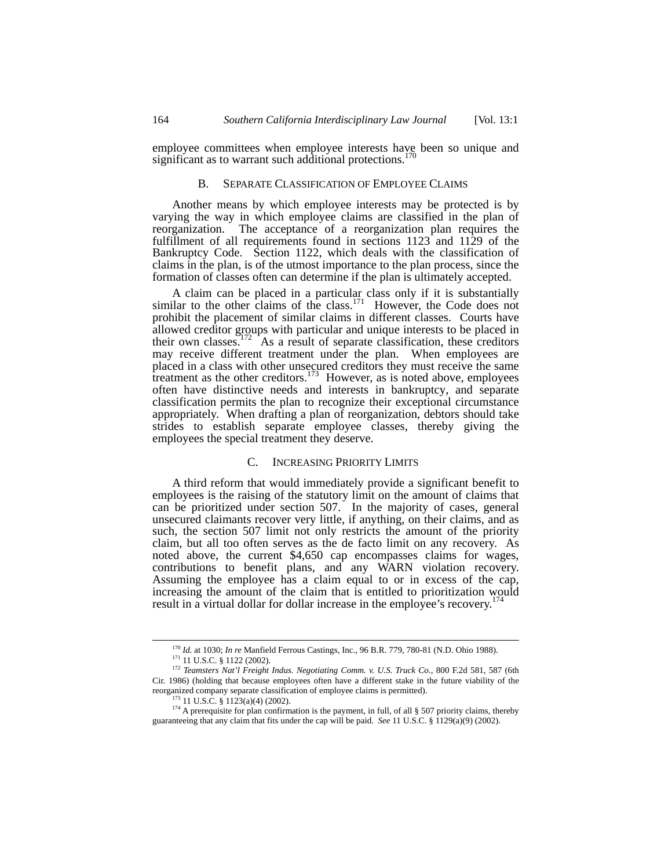employee committees when employee interests have been so unique and significant as to warrant such additional protections.<sup>170</sup>

## B. SEPARATE CLASSIFICATION OF EMPLOYEE CLAIMS

Another means by which employee interests may be protected is by varying the way in which employee claims are classified in the plan of reorganization. The acceptance of a reorganization plan requires the fulfillment of all requirements found in sections 1123 and 1129 of the Bankruptcy Code. Section 1122, which deals with the classification of claims in the plan, is of the utmost importance to the plan process, since the formation of classes often can determine if the plan is ultimately accepted.

A claim can be placed in a particular class only if it is substantially similar to the other claims of the class.<sup>171</sup> However, the Code does not prohibit the placement of similar claims in different classes. Courts have allowed creditor groups with particular and unique interests to be placed in their own classes.<sup>172</sup> As a result of separate classification, these creditors may receive different treatment under the plan. When employees are placed in a class with other unsecured creditors they must receive the same treatment as the other creditors.<sup>173</sup> However, as is noted above, employees often have distinctive needs and interests in bankruptcy, and separate classification permits the plan to recognize their exceptional circumstance appropriately. When drafting a plan of reorganization, debtors should take strides to establish separate employee classes, thereby giving the employees the special treatment they deserve.

#### C. INCREASING PRIORITY LIMITS

A third reform that would immediately provide a significant benefit to employees is the raising of the statutory limit on the amount of claims that can be prioritized under section 507. In the majority of cases, general unsecured claimants recover very little, if anything, on their claims, and as such, the section 507 limit not only restricts the amount of the priority claim, but all too often serves as the de facto limit on any recovery. As noted above, the current \$4,650 cap encompasses claims for wages, contributions to benefit plans, and any WARN violation recovery. Assuming the employee has a claim equal to or in excess of the cap, increasing the amount of the claim that is entitled to prioritization would result in a virtual dollar for dollar increase in the employee's recovery.<sup>[174](#page-23-4)</sup>

<span id="page-23-0"></span> <sup>170</sup> *Id.* at 1030; *In re* Manfield Ferrous Castings, Inc., 96 B.R. 779, 780-81 (N.D. Ohio 1988).

<span id="page-23-2"></span><span id="page-23-1"></span><sup>&</sup>lt;sup>171</sup> 11 U.S.C. § 1122 (2002).

<sup>172</sup> *Teamsters Nat'l Freight Indus. Negotiating Comm. v. U.S. Truck Co.*, 800 F.2d 581, 587 (6th Cir. 1986) (holding that because employees often have a different stake in the future viability of the reorganized company separate classification of employee claims is permitted).  $^{173}$  11 U.S.C. § 1123(a)(4) (2002).

<span id="page-23-4"></span><span id="page-23-3"></span>

<sup>&</sup>lt;sup>174</sup> A prerequisite for plan confirmation is the payment, in full, of all § 507 priority claims, thereby guaranteeing that any claim that fits under the cap will be paid. *See* 11 U.S.C. § 1129(a)(9) (2002).